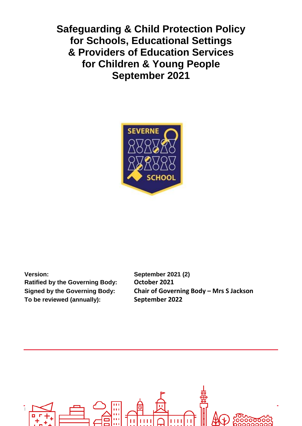**Safeguarding & Child Protection Policy for Schools, Educational Settings & Providers of Education Services for Children & Young People September 2021**



**Version: September 2021 (2) Ratified by the Governing Body: October 2021 To be reviewed (annually): September 2022**

**Signed by the Governing Body: Chair of Governing Body – Mrs S Jackson**

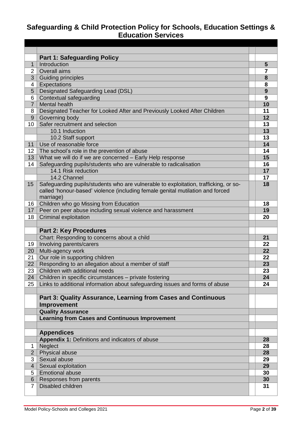# **Safeguarding & Child Protection Policy for Schools, Education Settings & Education Services**

|                  | <b>Part 1: Safeguarding Policy</b>                                                                                                                                                  |                |
|------------------|-------------------------------------------------------------------------------------------------------------------------------------------------------------------------------------|----------------|
| $\mathbf{1}$     | Introduction                                                                                                                                                                        | $5\phantom{1}$ |
| 2                | Overall aims                                                                                                                                                                        | 7              |
| 3                | Guiding principles                                                                                                                                                                  | 8              |
| 4                | Expectations                                                                                                                                                                        | 8              |
| 5                | Designated Safeguarding Lead (DSL)                                                                                                                                                  | 9              |
| 6                | Contextual safeguarding                                                                                                                                                             | 9              |
| $\overline{7}$   | <b>Mental health</b>                                                                                                                                                                | 10             |
| 8                | Designated Teacher for Looked After and Previously Looked After Children                                                                                                            | 11             |
| $\boldsymbol{9}$ | Governing body                                                                                                                                                                      | 12             |
| 10               | Safer recruitment and selection                                                                                                                                                     | 13             |
|                  | 10.1 Induction                                                                                                                                                                      | 13             |
|                  | 10.2 Staff support                                                                                                                                                                  | 13             |
| 11               | Use of reasonable force                                                                                                                                                             | 14             |
| 12               | The school's role in the prevention of abuse                                                                                                                                        | 14             |
| 13               | What we will do if we are concerned - Early Help response                                                                                                                           | 15             |
| 14               | Safeguarding pupils/students who are vulnerable to radicalisation                                                                                                                   | 16             |
|                  | 14.1 Risk reduction                                                                                                                                                                 | 17             |
|                  | 14.2 Channel                                                                                                                                                                        | 17             |
| 15               | Safeguarding pupils/students who are vulnerable to exploitation, trafficking, or so-<br>called 'honour-based' violence (including female genital mutilation and forced<br>marriage) | 18             |
| 16               | Children who go Missing from Education                                                                                                                                              | 18             |
| 17               | Peer on peer abuse including sexual violence and harassment                                                                                                                         | 19             |
| 18               | <b>Criminal exploitation</b>                                                                                                                                                        | 20             |
|                  |                                                                                                                                                                                     |                |
|                  | <b>Part 2: Key Procedures</b>                                                                                                                                                       |                |
|                  | Chart: Responding to concerns about a child                                                                                                                                         | 21             |
| 19               | Involving parents/carers                                                                                                                                                            | 22             |
| 20               | Multi-agency work                                                                                                                                                                   | 22             |
| 21               | Our role in supporting children                                                                                                                                                     | 22             |
| 22               | Responding to an allegation about a member of staff<br>Children with additional needs                                                                                               | 23             |
| 23<br>24         |                                                                                                                                                                                     | 23<br>24       |
| 25               | Children in specific circumstances - private fostering<br>Links to additional information about safeguarding issues and forms of abuse                                              | 24             |
|                  |                                                                                                                                                                                     |                |
|                  | Part 3: Quality Assurance, Learning from Cases and Continuous                                                                                                                       |                |
|                  | Improvement                                                                                                                                                                         |                |
|                  | <b>Quality Assurance</b>                                                                                                                                                            |                |
|                  | <b>Learning from Cases and Continuous Improvement</b>                                                                                                                               |                |
|                  |                                                                                                                                                                                     |                |
|                  | <b>Appendices</b><br>Appendix 1: Definitions and indicators of abuse                                                                                                                | 28             |
| 1                | Neglect                                                                                                                                                                             | 28             |
| $\overline{2}$   | Physical abuse                                                                                                                                                                      | 28             |
| 3                | Sexual abuse                                                                                                                                                                        | 29             |
| $\overline{4}$   | Sexual exploitation                                                                                                                                                                 | 29             |
| 5                | <b>Emotional abuse</b>                                                                                                                                                              | 30             |
| 6                | Responses from parents                                                                                                                                                              | 30             |
| $\overline{7}$   | Disabled children                                                                                                                                                                   | 31             |
|                  |                                                                                                                                                                                     |                |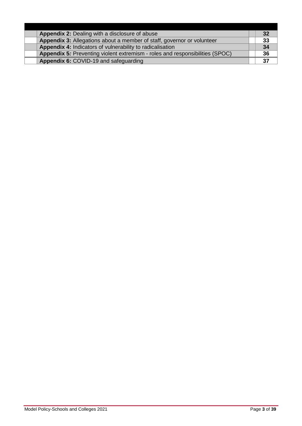| <b>Appendix 2: Dealing with a disclosure of abuse</b>                        | 32 |
|------------------------------------------------------------------------------|----|
| Appendix 3: Allegations about a member of staff, governor or volunteer       | 33 |
| Appendix 4: Indicators of vulnerability to radicalisation                    | 34 |
| Appendix 5: Preventing violent extremism - roles and responsibilities (SPOC) | 36 |
| Appendix 6: COVID-19 and safeguarding                                        |    |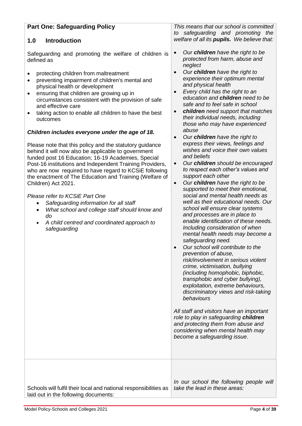| <b>Part One: Safeguarding Policy</b>                                                                                                                                                                                                                                                                                                                                                                                                                                                                                                                                                                                                                                                                                                                                                                                                                                                                                                                                                                                                                                                                                   | This means that our school is committed<br>safeguarding and promoting the<br>to                                                                                                                                                                                                                                                                                                                                                                                                                                                                                                                                                                                                                                                                                                                                                                                                                                                                                                                                                                                                                                                                                                                                                                                                                                                                                                                                                                                                                                                                                                                                 |
|------------------------------------------------------------------------------------------------------------------------------------------------------------------------------------------------------------------------------------------------------------------------------------------------------------------------------------------------------------------------------------------------------------------------------------------------------------------------------------------------------------------------------------------------------------------------------------------------------------------------------------------------------------------------------------------------------------------------------------------------------------------------------------------------------------------------------------------------------------------------------------------------------------------------------------------------------------------------------------------------------------------------------------------------------------------------------------------------------------------------|-----------------------------------------------------------------------------------------------------------------------------------------------------------------------------------------------------------------------------------------------------------------------------------------------------------------------------------------------------------------------------------------------------------------------------------------------------------------------------------------------------------------------------------------------------------------------------------------------------------------------------------------------------------------------------------------------------------------------------------------------------------------------------------------------------------------------------------------------------------------------------------------------------------------------------------------------------------------------------------------------------------------------------------------------------------------------------------------------------------------------------------------------------------------------------------------------------------------------------------------------------------------------------------------------------------------------------------------------------------------------------------------------------------------------------------------------------------------------------------------------------------------------------------------------------------------------------------------------------------------|
| <b>Introduction</b><br>1.0                                                                                                                                                                                                                                                                                                                                                                                                                                                                                                                                                                                                                                                                                                                                                                                                                                                                                                                                                                                                                                                                                             | welfare of all its <i>pupils</i> . We believe that:                                                                                                                                                                                                                                                                                                                                                                                                                                                                                                                                                                                                                                                                                                                                                                                                                                                                                                                                                                                                                                                                                                                                                                                                                                                                                                                                                                                                                                                                                                                                                             |
| Safeguarding and promoting the welfare of children is<br>defined as<br>protecting children from maltreatment<br>$\bullet$<br>preventing impairment of children's mental and<br>$\bullet$<br>physical health or development<br>ensuring that children are growing up in<br>٠<br>circumstances consistent with the provision of safe<br>and effective care<br>taking action to enable all children to have the best<br>$\bullet$<br>outcomes<br>Children includes everyone under the age of 18.<br>Please note that this policy and the statutory guidance<br>behind it will now also be applicable to government<br>funded post 16 Education; 16-19 Academies, Special<br>Post-16 institutions and Independent Training Providers,<br>who are now required to have regard to KCSiE following<br>the enactment of The Education and Training (Welfare of<br>Children) Act 2021.<br>Please refer to KCSiE Part One<br>Safeguarding information for all staff<br>$\bullet$<br>What school and college staff should know and<br>$\bullet$<br>do<br>A child centred and coordinated approach to<br>$\bullet$<br>safeguarding | Our children have the right to be<br>$\bullet$<br>protected from harm, abuse and<br>neglect<br>Our children have the right to<br>$\bullet$<br>experience their optimum mental<br>and physical health<br>Every child has the right to an<br>$\bullet$<br>education and children need to be<br>safe and to feel safe in school<br>children need support that matches<br>$\bullet$<br>their individual needs, including<br>those who may have experienced<br>abuse<br>Our children have the right to<br>$\bullet$<br>express their views, feelings and<br>wishes and voice their own values<br>and beliefs<br>Our children should be encouraged<br>$\bullet$<br>to respect each other's values and<br>support each other<br>Our children have the right to be<br>$\bullet$<br>supported to meet their emotional,<br>social and mental health needs as<br>well as their educational needs. Our<br>school will ensure clear systems<br>and processes are in place to<br>enable identification of these needs.<br>Including consideration of when<br>mental health needs may become a<br>safeguarding need.<br>Our school will contribute to the<br>prevention of abuse,<br>risk/involvement in serious violent<br>crime, victimisation, bullying<br>(including homophobic, biphobic,<br>transphobic and cyber bullying),<br>exploitation, extreme behaviours,<br>discriminatory views and risk-taking<br>behaviours<br>All staff and visitors have an important<br>role to play in safeguarding children<br>and protecting them from abuse and<br>considering when mental health may<br>become a safeguarding issue. |
| Schools will fulfil their local and national responsibilities as<br>laid out in the following documents:                                                                                                                                                                                                                                                                                                                                                                                                                                                                                                                                                                                                                                                                                                                                                                                                                                                                                                                                                                                                               | In our school the following people will<br>take the lead in these areas:                                                                                                                                                                                                                                                                                                                                                                                                                                                                                                                                                                                                                                                                                                                                                                                                                                                                                                                                                                                                                                                                                                                                                                                                                                                                                                                                                                                                                                                                                                                                        |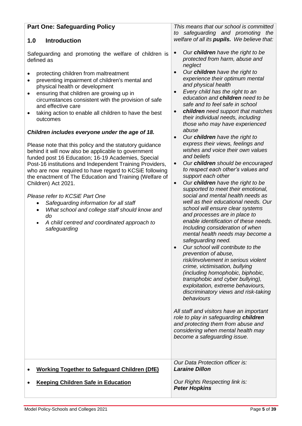| <b>Part One: Safeguarding Policy</b>                                                                                                                                                                                                                                                                                                                                                                                                                                                                                                                                                                                                                                                                                                                                                                                                                                                                                                                                                                                                                                            | This means that our school is committed<br>to safeguarding and promoting the                                                                                                                                                                                                                                                                                                                                                                                                                                                                                                                                                                                                                                                                                                                                                                                                                                                                                                                                                                                                                                                                                                                                                                                                                                                                                                                                                                                                                                                                                                                                    |
|---------------------------------------------------------------------------------------------------------------------------------------------------------------------------------------------------------------------------------------------------------------------------------------------------------------------------------------------------------------------------------------------------------------------------------------------------------------------------------------------------------------------------------------------------------------------------------------------------------------------------------------------------------------------------------------------------------------------------------------------------------------------------------------------------------------------------------------------------------------------------------------------------------------------------------------------------------------------------------------------------------------------------------------------------------------------------------|-----------------------------------------------------------------------------------------------------------------------------------------------------------------------------------------------------------------------------------------------------------------------------------------------------------------------------------------------------------------------------------------------------------------------------------------------------------------------------------------------------------------------------------------------------------------------------------------------------------------------------------------------------------------------------------------------------------------------------------------------------------------------------------------------------------------------------------------------------------------------------------------------------------------------------------------------------------------------------------------------------------------------------------------------------------------------------------------------------------------------------------------------------------------------------------------------------------------------------------------------------------------------------------------------------------------------------------------------------------------------------------------------------------------------------------------------------------------------------------------------------------------------------------------------------------------------------------------------------------------|
| <b>Introduction</b><br>1.0                                                                                                                                                                                                                                                                                                                                                                                                                                                                                                                                                                                                                                                                                                                                                                                                                                                                                                                                                                                                                                                      | welfare of all its pupils. We believe that:                                                                                                                                                                                                                                                                                                                                                                                                                                                                                                                                                                                                                                                                                                                                                                                                                                                                                                                                                                                                                                                                                                                                                                                                                                                                                                                                                                                                                                                                                                                                                                     |
| Safeguarding and promoting the welfare of children is<br>defined as<br>protecting children from maltreatment<br>preventing impairment of children's mental and<br>$\bullet$<br>physical health or development<br>ensuring that children are growing up in<br>$\bullet$<br>circumstances consistent with the provision of safe<br>and effective care<br>taking action to enable all children to have the best<br>٠<br>outcomes<br>Children includes everyone under the age of 18.<br>Please note that this policy and the statutory guidance<br>behind it will now also be applicable to government<br>funded post 16 Education; 16-19 Academies, Special<br>Post-16 institutions and Independent Training Providers,<br>who are now required to have regard to KCSiE following<br>the enactment of The Education and Training (Welfare of<br>Children) Act 2021.<br>Please refer to KCSiE Part One<br>Safeguarding information for all staff<br>What school and college staff should know and<br>do<br>A child centred and coordinated approach to<br>$\bullet$<br>safeguarding | Our children have the right to be<br>$\bullet$<br>protected from harm, abuse and<br>neglect<br>Our children have the right to<br>$\bullet$<br>experience their optimum mental<br>and physical health<br>Every child has the right to an<br>$\bullet$<br>education and children need to be<br>safe and to feel safe in school<br>children need support that matches<br>$\bullet$<br>their individual needs, including<br>those who may have experienced<br>abuse<br>Our children have the right to<br>$\bullet$<br>express their views, feelings and<br>wishes and voice their own values<br>and beliefs<br>Our children should be encouraged<br>$\bullet$<br>to respect each other's values and<br>support each other<br>Our children have the right to be<br>$\bullet$<br>supported to meet their emotional,<br>social and mental health needs as<br>well as their educational needs. Our<br>school will ensure clear systems<br>and processes are in place to<br>enable identification of these needs.<br>Including consideration of when<br>mental health needs may become a<br>safeguarding need.<br>Our school will contribute to the<br>prevention of abuse,<br>risk/involvement in serious violent<br>crime, victimisation, bullying<br>(including homophobic, biphobic,<br>transphobic and cyber bullying),<br>exploitation, extreme behaviours,<br>discriminatory views and risk-taking<br>behaviours<br>All staff and visitors have an important<br>role to play in safeguarding children<br>and protecting them from abuse and<br>considering when mental health may<br>become a safeguarding issue. |
| <b>Working Together to Safeguard Children (DfE)</b><br><b>Keeping Children Safe in Education</b>                                                                                                                                                                                                                                                                                                                                                                                                                                                                                                                                                                                                                                                                                                                                                                                                                                                                                                                                                                                | Our Data Protection officer is:<br><b>Laraine Dillon</b><br>Our Rights Respecting link is:                                                                                                                                                                                                                                                                                                                                                                                                                                                                                                                                                                                                                                                                                                                                                                                                                                                                                                                                                                                                                                                                                                                                                                                                                                                                                                                                                                                                                                                                                                                      |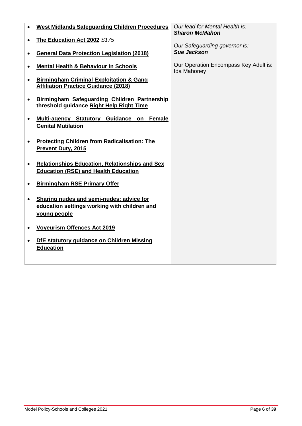| $\bullet$ | <b>West Midlands Safeguarding Children Procedures</b>                                                    | Our lead for Mental Health is:<br><b>Sharon McMahon</b> |
|-----------|----------------------------------------------------------------------------------------------------------|---------------------------------------------------------|
| $\bullet$ | The Education Act 2002 S175                                                                              | Our Safeguarding governor is:                           |
| ٠         | <b>General Data Protection Legislation (2018)</b>                                                        | <b>Sue Jackson</b>                                      |
| $\bullet$ | <b>Mental Health &amp; Behaviour in Schools</b>                                                          | Our Operation Encompass Key Adult is:<br>Ida Mahoney    |
| $\bullet$ | <b>Birmingham Criminal Exploitation &amp; Gang</b><br><b>Affiliation Practice Guidance (2018)</b>        |                                                         |
| $\bullet$ | Birmingham Safeguarding Children Partnership<br>threshold guidance Right Help Right Time                 |                                                         |
| $\bullet$ | Multi-agency Statutory Guidance on<br><b>Female</b><br><b>Genital Mutilation</b>                         |                                                         |
|           | <b>Protecting Children from Radicalisation: The</b><br><b>Prevent Duty, 2015</b>                         |                                                         |
| $\bullet$ | <b>Relationships Education, Relationships and Sex</b><br><b>Education (RSE) and Health Education</b>     |                                                         |
| $\bullet$ | <b>Birmingham RSE Primary Offer</b>                                                                      |                                                         |
| $\bullet$ | Sharing nudes and semi-nudes: advice for<br>education settings working with children and<br>young people |                                                         |
|           | <b>Voyeurism Offences Act 2019</b>                                                                       |                                                         |
| $\bullet$ | DfE statutory guidance on Children Missing<br><b>Education</b>                                           |                                                         |
|           |                                                                                                          |                                                         |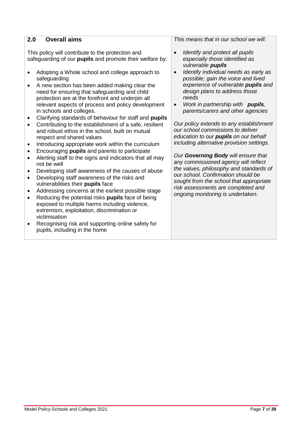This policy will contribute to the protection and safeguarding of our **pupils** and promote their welfare by:

- Adopting a Whole school and college approach to safeguarding
- A new section has been added making clear the need for ensuring that safeguarding and child protection are at the forefront and underpin all relevant aspects of process and policy development in schools and colleges.
- Clarifying standards of behaviour for staff and **pupils**
- Contributing to the establishment of a safe, resilient and robust ethos in the school, built on mutual respect and shared values
- Introducing appropriate work within the curriculum
- Encouraging **pupils** and parents to participate
- Alerting staff to the signs and indicators that all may not be well
- Developing staff awareness of the causes of abuse
- Developing staff awareness of the risks and vulnerabilities their **pupils** face
- Addressing concerns at the earliest possible stage
- Reducing the potential risks **pupils** face of being exposed to multiple harms including violence, extremism, exploitation, discrimination or victimisation
- Recognising risk and supporting online safety for pupils, including in the home

*This means that in our school we will:*

- *Identify and protect all pupils especially those identified as vulnerable pupils*
- *Identify individual needs as early as possible; gain the voice and lived experience of vulnerable pupils and design plans to address those needs*
- *Work in partnership with pupils, parents/carers and other agencies*

*Our policy extends to any establishment our school commissions to deliver education to our pupils on our behalf including alternative provision settings.*

*Our Governing Body will ensure that any commissioned agency will reflect the values, philosophy and standards of our school. Confirmation should be sought from the school that appropriate risk assessments are completed and ongoing monitoring is undertaken.*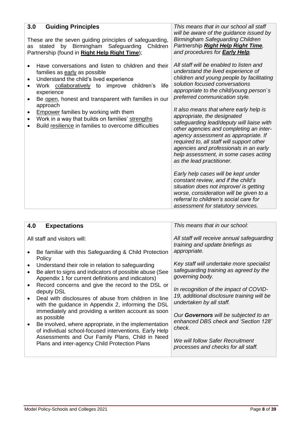| 3.0<br><b>Guiding Principles</b><br>These are the seven guiding principles of safeguarding,<br>by<br>Birmingham<br>Safeguarding<br>stated<br>Children<br>as<br>Partnership (found in Right Help Right Time);                                                                                                                                                                                                                                                           | This means that in our school all staff<br>will be aware of the guidance issued by<br><b>Birmingham Safeguarding Children</b><br>Partnership Right Help Right Time,<br>and procedures for <b>Early Help</b> .                                                                                                                                                                                                                                                                                                                                                                                                                                                                                                                                                                                                                                                      |
|------------------------------------------------------------------------------------------------------------------------------------------------------------------------------------------------------------------------------------------------------------------------------------------------------------------------------------------------------------------------------------------------------------------------------------------------------------------------|--------------------------------------------------------------------------------------------------------------------------------------------------------------------------------------------------------------------------------------------------------------------------------------------------------------------------------------------------------------------------------------------------------------------------------------------------------------------------------------------------------------------------------------------------------------------------------------------------------------------------------------------------------------------------------------------------------------------------------------------------------------------------------------------------------------------------------------------------------------------|
| Have conversations and listen to children and their<br>families as early as possible<br>Understand the child's lived experience<br>٠<br>Work collaboratively to<br>improve children's<br>life<br>experience<br>Be open, honest and transparent with families in our<br>$\bullet$<br>approach<br><b>Empower</b> families by working with them<br>$\bullet$<br>Work in a way that builds on families' strengths<br>Build resilience in families to overcome difficulties | All staff will be enabled to listen and<br>understand the lived experience of<br>children and young people by facilitating<br>solution focused conversations<br>appropriate to the child/young person's<br>preferred communication style.<br>It also means that where early help is<br>appropriate, the designated<br>safeguarding lead/deputy will liaise with<br>other agencies and completing an inter-<br>agency assessment as appropriate. If<br>required to, all staff will support other<br>agencies and professionals in an early<br>help assessment, in some cases acting<br>as the lead practitioner.<br>Early help cases will be kept under<br>constant review, and if the child's<br>situation does not improve/ is getting<br>worse, consideration will be given to a<br>referral to children's social care for<br>assessment for statutory services. |

| 4.0                          | <b>Expectations</b>                                                                                                                                                | This means that in our school:                                                                        |
|------------------------------|--------------------------------------------------------------------------------------------------------------------------------------------------------------------|-------------------------------------------------------------------------------------------------------|
| All staff and visitors will: |                                                                                                                                                                    | All staff will receive annual safeguarding<br>training and update briefings as                        |
|                              | Be familiar with this Safeguarding & Child Protection<br>Policy                                                                                                    | appropriate.                                                                                          |
|                              | Understand their role in relation to safeguarding<br>Be alert to signs and indicators of possible abuse (See<br>Appendix 1 for current definitions and indicators) | Key staff will undertake more specialist<br>safeguarding training as agreed by the<br>governing body. |
|                              | Record concerns and give the record to the DSL or<br>deputy DSL                                                                                                    | In recognition of the impact of COVID-<br>19, additional disclosure training will be                  |
|                              | Deal with disclosures of abuse from children in line<br>with the guidance in Appendix 2, informing the DSL                                                         | undertaken by all staff.                                                                              |
|                              | immediately and providing a written account as soon<br>as possible                                                                                                 | Our Governors will be subjected to an<br>enhanced DBS check and 'Section 128'                         |
|                              | Be involved, where appropriate, in the implementation<br>of individual school-focused interventions, Early Help<br>Assessments and Our Family Plans, Child in Need | check.                                                                                                |
|                              | Plans and inter-agency Child Protection Plans                                                                                                                      | We will follow Safer Recruitment<br>processes and checks for all staff.                               |
|                              |                                                                                                                                                                    |                                                                                                       |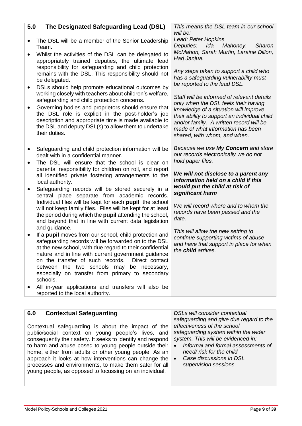| The Designated Safeguarding Lead (DSL)<br>5.0                                                                                                                                                                                                                                                                                                                                                                                                                                                                                                                                                                                                                                                                                                                                                                                                                                                                                                                                                                                                                                                                                                                     | This means the DSL team in our school<br>will be:                                                                                                                                                                                                                                                                                                                                                                                                                                                                                         |
|-------------------------------------------------------------------------------------------------------------------------------------------------------------------------------------------------------------------------------------------------------------------------------------------------------------------------------------------------------------------------------------------------------------------------------------------------------------------------------------------------------------------------------------------------------------------------------------------------------------------------------------------------------------------------------------------------------------------------------------------------------------------------------------------------------------------------------------------------------------------------------------------------------------------------------------------------------------------------------------------------------------------------------------------------------------------------------------------------------------------------------------------------------------------|-------------------------------------------------------------------------------------------------------------------------------------------------------------------------------------------------------------------------------------------------------------------------------------------------------------------------------------------------------------------------------------------------------------------------------------------------------------------------------------------------------------------------------------------|
| The DSL will be a member of the Senior Leadership<br>Team.<br>Whilst the activities of the DSL can be delegated to<br>appropriately trained deputies, the ultimate lead<br>responsibility for safeguarding and child protection<br>remains with the DSL. This responsibility should not<br>be delegated.<br>DSLs should help promote educational outcomes by<br>$\bullet$<br>working closely with teachers about children's welfare,<br>safeguarding and child protection concerns.<br>Governing bodies and proprietors should ensure that<br>the DSL role is explicit in the post-holder's job<br>description and appropriate time is made available to<br>the DSL and deputy DSL(s) to allow them to undertake<br>their duties.                                                                                                                                                                                                                                                                                                                                                                                                                                 | Lead: Peter Hopkins<br>Deputies:<br>Ida<br>Mahoney,<br>Sharon<br>McMahon, Sarah Murfin, Laraine Dillon,<br>Harj Janjua.<br>Any steps taken to support a child who<br>has a safeguarding vulnerability must<br>be reported to the lead DSL.<br>Staff will be informed of relevant details<br>only when the DSL feels their having<br>knowledge of a situation will improve<br>their ability to support an individual child<br>and/or family. A written record will be<br>made of what information has been<br>shared, with whom, and when. |
| Safeguarding and child protection information will be<br>dealt with in a confidential manner.<br>The DSL will ensure that the school is clear on<br>parental responsibility for children on roll, and report<br>all identified private fostering arrangements to the<br>local authority.<br>Safeguarding records will be stored securely in a<br>central place separate from academic records.<br>Individual files will be kept for each pupil: the school<br>will not keep family files. Files will be kept for at least<br>the period during which the pupil attending the school,<br>and beyond that in line with current data legislation<br>and guidance.<br>If a pupil moves from our school, child protection and<br>safeguarding records will be forwarded on to the DSL<br>at the new school, with due regard to their confidential<br>nature and in line with current government guidance<br>on the transfer of such records.<br>Direct contact<br>between the two schools may be necessary,<br>especially on transfer from primary to secondary<br>schools.<br>All in-year applications and transfers will also be<br>reported to the local authority. | Because we use My Concern and store<br>our records electronically we do not<br>hold paper files.<br>We will not disclose to a parent any<br>information held on a child if this<br>would put the child at risk of<br>significant harm<br>We will record where and to whom the<br>records have been passed and the<br>date.<br>This will allow the new setting to<br>continue supporting victims of abuse<br>and have that support in place for when<br>the <b>child</b> arrives.                                                          |

| <b>Contextual Safeguarding</b>                              | <b>DSLs will consider contextual</b>    |
|-------------------------------------------------------------|-----------------------------------------|
| 6.0                                                         | safeguarding and give due regard to the |
| Contextual safeguarding is about the impact of the          | effectiveness of the school             |
| public/social context on young people's lives, and          | safeguarding system within the wider    |
| consequently their safety. It seeks to identify and respond | system. This will be evidenced in:      |
| to harm and abuse posed to young people outside their       | Informal and formal assessments of      |
| home, either from adults or other young people. As an       | $\bullet$                               |
| approach it looks at how interventions can change the       | need/risk for the child                 |
| processes and environments, to make them safer for all      | Case discussions in DSL                 |
| young people, as opposed to focussing on an individual.     | supervision sessions                    |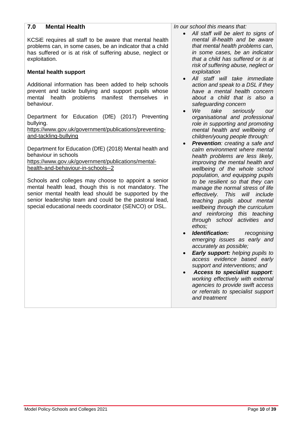| <b>Mental Health</b><br>7.0                                                                                                                                                                                                                                                             | In our school this means that:<br>All staff will be alert to signs of<br>$\bullet$                                                                                                                                                                                  |
|-----------------------------------------------------------------------------------------------------------------------------------------------------------------------------------------------------------------------------------------------------------------------------------------|---------------------------------------------------------------------------------------------------------------------------------------------------------------------------------------------------------------------------------------------------------------------|
| KCSIE requires all staff to be aware that mental health<br>problems can, in some cases, be an indicator that a child<br>has suffered or is at risk of suffering abuse, neglect or<br>exploitation.                                                                                      | mental ill-health and be aware<br>that mental health problems can,<br>in some cases, be an indicator<br>that a child has suffered or is at<br>risk of suffering abuse, neglect or                                                                                   |
| <b>Mental health support</b>                                                                                                                                                                                                                                                            | exploitation<br>All staff will take immediate<br>$\bullet$                                                                                                                                                                                                          |
| Additional information has been added to help schools<br>prevent and tackle bullying and support pupils whose<br>problems<br>manifest themselves<br>mental<br>health<br>in<br>behaviour.                                                                                                | action and speak to a DSL if they<br>have a mental health concern<br>about a child that is also a<br>safeguarding concern<br>We<br>take<br>seriously<br>$\bullet$                                                                                                   |
| Department for Education (DfE) (2017) Preventing<br>bullying.<br>https://www.gov.uk/government/publications/preventing-<br>and-tackling-bullying                                                                                                                                        | our<br>organisational and professional<br>role in supporting and promoting<br>mental health and wellbeing of<br>children/young people through:<br><b>Prevention:</b> creating a safe and<br>$\bullet$                                                               |
| Department for Education (DfE) (2018) Mental health and<br>behaviour in schools<br>https://www.gov.uk/government/publications/mental-<br>health-and-behaviour-in-schools--2                                                                                                             | calm environment where mental<br>health problems are less likely,<br>improving the mental health and<br>wellbeing of the whole school<br>population, and equipping pupils                                                                                           |
| Schools and colleges may choose to appoint a senior<br>mental health lead, though this is not mandatory. The<br>senior mental health lead should be supported by the<br>senior leadership team and could be the pastoral lead,<br>special educational needs coordinator (SENCO) or DSL. | to be resilient so that they can<br>manage the normal stress of life<br>effectively.<br><b>This</b><br>will include<br>teaching pupils about mental<br>wellbeing through the curriculum<br>and reinforcing this teaching<br>through school activities and<br>ethos; |
|                                                                                                                                                                                                                                                                                         | Identification:<br>recognising<br>emerging issues as early and<br>accurately as possible;                                                                                                                                                                           |
|                                                                                                                                                                                                                                                                                         | <b>Early support:</b> helping pupils to<br>access evidence based early<br>support and interventions; and<br>Access to specialist support:<br>working effectively with external                                                                                      |
|                                                                                                                                                                                                                                                                                         | agencies to provide swift access<br>or referrals to specialist support<br>and treatment                                                                                                                                                                             |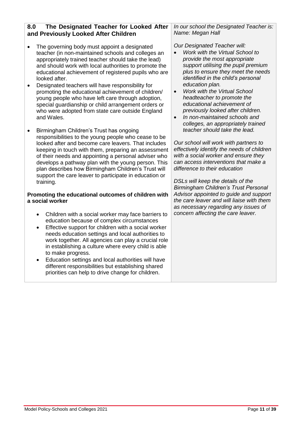## **8.0 The Designated Teacher for Looked After and Previously Looked After Children**

- The governing body must appoint a designated teacher (in non-maintained schools and colleges an appropriately trained teacher should take the lead) and should work with local authorities to promote the educational achievement of registered pupils who are looked after.
- Designated teachers will have responsibility for promoting the educational achievement of children/ young people who have left care through adoption, special guardianship or child arrangement orders or who were adopted from state care outside England and Wales.
- Birmingham Children's Trust has ongoing responsibilities to the young people who cease to be looked after and become care leavers. That includes keeping in touch with them, preparing an assessment of their needs and appointing a personal adviser who develops a pathway plan with the young person. This plan describes how Birmingham Children's Trust will support the care leaver to participate in education or training.

#### **Promoting the educational outcomes of children with a social worker**

- Children with a social worker may face barriers to education because of complex circumstances
- Effective support for children with a social worker needs education settings and local authorities to work together. All agencies can play a crucial role in establishing a culture where every child is able to make progress.
- Education settings and local authorities will have different responsibilities but establishing shared priorities can help to drive change for children.

*In our school the Designated Teacher is: Name: Megan Hall*

*Our Designated Teacher will:*

- *Work with the Virtual School to provide the most appropriate support utilising the pupil premium plus to ensure they meet the needs identified in the child's personal education plan.*
- *Work with the Virtual School headteacher to promote the educational achievement of previously looked after children.*
- *In non-maintained schools and colleges, an appropriately trained teacher should take the lead.*

*Our school will work with partners to effectively identify the needs of children with a social worker and ensure they can access interventions that make a difference to their education*

*DSLs will keep the details of the Birmingham Children's Trust Personal Advisor appointed to guide and support the care leaver and will liaise with them as necessary regarding any issues of concern affecting the care leaver.*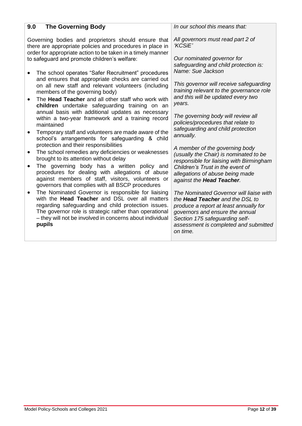| 9.0<br><b>The Governing Body</b>                                                                                                                                                                                                                                                                                                                                                                                                                                                                                                                                                                                                                                                                                                                                                                                                                                                                                                                                                                                                                                                                                                                                                                | In our school this means that:                                                                                                                                                                                                                                                                                                                                                                                                                                                                                                                                                                                                                                                       |
|-------------------------------------------------------------------------------------------------------------------------------------------------------------------------------------------------------------------------------------------------------------------------------------------------------------------------------------------------------------------------------------------------------------------------------------------------------------------------------------------------------------------------------------------------------------------------------------------------------------------------------------------------------------------------------------------------------------------------------------------------------------------------------------------------------------------------------------------------------------------------------------------------------------------------------------------------------------------------------------------------------------------------------------------------------------------------------------------------------------------------------------------------------------------------------------------------|--------------------------------------------------------------------------------------------------------------------------------------------------------------------------------------------------------------------------------------------------------------------------------------------------------------------------------------------------------------------------------------------------------------------------------------------------------------------------------------------------------------------------------------------------------------------------------------------------------------------------------------------------------------------------------------|
| Governing bodies and proprietors should ensure that<br>there are appropriate policies and procedures in place in<br>order for appropriate action to be taken in a timely manner<br>to safeguard and promote children's welfare:<br>The school operates "Safer Recruitment" procedures<br>and ensures that appropriate checks are carried out<br>on all new staff and relevant volunteers (including<br>members of the governing body)<br>The Head Teacher and all other staff who work with<br>children undertake safeguarding training on an<br>annual basis with additional updates as necessary<br>within a two-year framework and a training record<br>maintained<br>Temporary staff and volunteers are made aware of the<br>school's arrangements for safeguarding & child<br>protection and their responsibilities<br>The school remedies any deficiencies or weaknesses<br>٠<br>brought to its attention without delay<br>The governing body has a written policy and<br>procedures for dealing with allegations of abuse<br>against members of staff, visitors, volunteers or<br>governors that complies with all BSCP procedures<br>The Nominated Governor is responsible for liaising | All governors must read part 2 of<br>'KCSiE'<br>Our nominated governor for<br>safeguarding and child protection is:<br>Name: Sue Jackson<br>This governor will receive safeguarding<br>training relevant to the governance role<br>and this will be updated every two<br>years.<br>The governing body will review all<br>policies/procedures that relate to<br>safequarding and child protection<br>annually.<br>A member of the governing body<br>(usually the Chair) is nominated to be<br>responsible for liaising with Birmingham<br>Children's Trust in the event of<br>allegations of abuse being made<br>against the Head Teacher.<br>The Nominated Governor will liaise with |
| with the Head Teacher and DSL over all matters<br>regarding safeguarding and child protection issues.<br>The governor role is strategic rather than operational<br>- they will not be involved in concerns about individual<br>pupils                                                                                                                                                                                                                                                                                                                                                                                                                                                                                                                                                                                                                                                                                                                                                                                                                                                                                                                                                           | the <b>Head Teacher</b> and the DSL to<br>produce a report at least annually for<br>governors and ensure the annual<br>Section 175 safeguarding self-<br>assessment is completed and submitted<br>on time.                                                                                                                                                                                                                                                                                                                                                                                                                                                                           |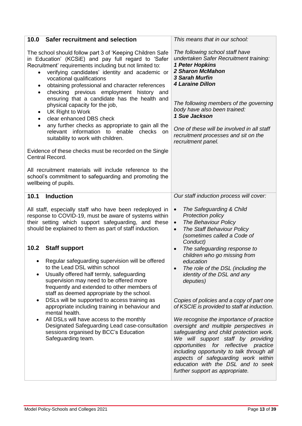| 10.0<br><b>Safer recruitment and selection</b>                                                                                                                                                                                                                                                                                                                                                                                                                                                                                                                                                                                                                                                                                                                                                                                                  | This means that in our school:                                                                                                                                                                                                                                                                                                                                                                                                                                                                                                                                                                              |
|-------------------------------------------------------------------------------------------------------------------------------------------------------------------------------------------------------------------------------------------------------------------------------------------------------------------------------------------------------------------------------------------------------------------------------------------------------------------------------------------------------------------------------------------------------------------------------------------------------------------------------------------------------------------------------------------------------------------------------------------------------------------------------------------------------------------------------------------------|-------------------------------------------------------------------------------------------------------------------------------------------------------------------------------------------------------------------------------------------------------------------------------------------------------------------------------------------------------------------------------------------------------------------------------------------------------------------------------------------------------------------------------------------------------------------------------------------------------------|
| The school should follow part 3 of 'Keeping Children Safe<br>in Education' (KCSiE) and pay full regard to 'Safer<br>Recruitment' requirements including but not limited to:<br>verifying candidates' identity and academic or<br>$\bullet$<br>vocational qualifications<br>obtaining professional and character references<br>٠<br>checking previous employment history and<br>$\bullet$<br>ensuring that a candidate has the health and<br>physical capacity for the job,<br>UK Right to Work<br>$\bullet$<br>clear enhanced DBS check<br>$\bullet$<br>any further checks as appropriate to gain all the<br>$\bullet$<br>relevant information to enable<br>checks<br><b>on</b><br>suitability to work with children.                                                                                                                           | The following school staff have<br>undertaken Safer Recruitment training:<br>1 Peter Hopkins<br><b>2 Sharon McMahon</b><br><b>3 Sarah Murfin</b><br><b>4 Laraine Dillon</b><br>The following members of the governing<br>body have also been trained:<br>1 Sue Jackson<br>One of these will be involved in all staff<br>recruitment processes and sit on the<br>recruitment panel.                                                                                                                                                                                                                          |
| Evidence of these checks must be recorded on the Single<br>Central Record.                                                                                                                                                                                                                                                                                                                                                                                                                                                                                                                                                                                                                                                                                                                                                                      |                                                                                                                                                                                                                                                                                                                                                                                                                                                                                                                                                                                                             |
| All recruitment materials will include reference to the<br>school's commitment to safeguarding and promoting the<br>wellbeing of pupils.                                                                                                                                                                                                                                                                                                                                                                                                                                                                                                                                                                                                                                                                                                        |                                                                                                                                                                                                                                                                                                                                                                                                                                                                                                                                                                                                             |
| <b>Induction</b><br>10.1                                                                                                                                                                                                                                                                                                                                                                                                                                                                                                                                                                                                                                                                                                                                                                                                                        | Our staff induction process will cover:                                                                                                                                                                                                                                                                                                                                                                                                                                                                                                                                                                     |
| All staff, especially staff who have been redeployed in<br>response to COVID-19, must be aware of systems within<br>their setting which support safeguarding, and these<br>should be explained to them as part of staff induction.<br>10.2<br><b>Staff support</b><br>Regular safeguarding supervision will be offered<br>to the Lead DSL within school<br>Usually offered half termly, safeguarding<br>$\bullet$<br>supervision may need to be offered more<br>frequently and extended to other members of<br>staff as deemed appropriate by the school.<br>DSLs will be supported to access training as<br>$\bullet$<br>appropriate including training in behaviour and<br>mental health.<br>All DSLs will have access to the monthly<br>$\bullet$<br>Designated Safeguarding Lead case-consultation<br>sessions organised by BCC's Education | The Safeguarding & Child<br>$\bullet$<br><b>Protection policy</b><br>The Behaviour Policy<br>$\bullet$<br><b>The Staff Behaviour Policy</b><br>$\bullet$<br>(sometimes called a Code of<br>Conduct)<br>The safeguarding response to<br>children who go missing from<br>education<br>The role of the DSL (including the<br>$\bullet$<br>identity of the DSL and any<br>deputies)<br>Copies of policies and a copy of part one<br>of KSCIE is provided to staff at induction.<br>We recognise the importance of practice<br>oversight and multiple perspectives in<br>safeguarding and child protection work. |
| Safeguarding team.                                                                                                                                                                                                                                                                                                                                                                                                                                                                                                                                                                                                                                                                                                                                                                                                                              | We will support staff by providing<br>opportunities for reflective practice<br>including opportunity to talk through all<br>aspects of safeguarding work within<br>education with the DSL and to seek<br>further support as appropriate.                                                                                                                                                                                                                                                                                                                                                                    |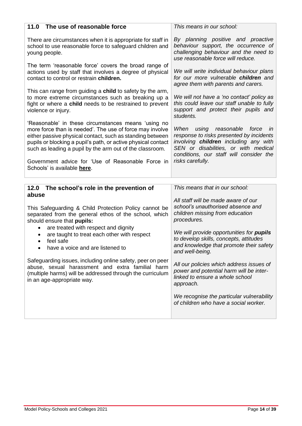| 11.0<br>The use of reasonable force                                                                                                                                                                                                                                                                       | This means in our school:                                                                                                                                                                                                 |
|-----------------------------------------------------------------------------------------------------------------------------------------------------------------------------------------------------------------------------------------------------------------------------------------------------------|---------------------------------------------------------------------------------------------------------------------------------------------------------------------------------------------------------------------------|
| There are circumstances when it is appropriate for staff in<br>school to use reasonable force to safeguard children and<br>young people.                                                                                                                                                                  | By planning positive and proactive<br>behaviour support, the occurrence of<br>challenging behaviour and the need to<br>use reasonable force will reduce.                                                                  |
| The term 'reasonable force' covers the broad range of<br>actions used by staff that involves a degree of physical<br>contact to control or restrain children.                                                                                                                                             | We will write individual behaviour plans<br>for our more vulnerable children and<br>agree them with parents and carers.                                                                                                   |
| This can range from guiding a child to safety by the arm,<br>to more extreme circumstances such as breaking up a<br>fight or where a child needs to be restrained to prevent<br>violence or injury.                                                                                                       | We will not have a 'no contact' policy as<br>this could leave our staff unable to fully<br>support and protect their pupils and<br>students.                                                                              |
| 'Reasonable' in these circumstances means 'using no<br>more force than is needed'. The use of force may involve<br>either passive physical contact, such as standing between<br>pupils or blocking a pupil's path, or active physical contact<br>such as leading a pupil by the arm out of the classroom. | When<br>using reasonable<br>force<br>$\mathsf{I}$<br>response to risks presented by incidents<br>involving children including any with<br>SEN or disabilities, or with medical<br>conditions, our staff will consider the |
| Government advice for 'Use of Reasonable Force in<br>Schools' is available here.                                                                                                                                                                                                                          | risks carefully.                                                                                                                                                                                                          |
|                                                                                                                                                                                                                                                                                                           |                                                                                                                                                                                                                           |
| 12.0 The school's role in the prevention of<br>abuse                                                                                                                                                                                                                                                      | This means that in our school:                                                                                                                                                                                            |
| This Safeguarding & Child Protection Policy cannot be<br>separated from the general ethos of the school, which<br>should ensure that pupils:                                                                                                                                                              | All staff will be made aware of our<br>school's unauthorised absence and<br>children missing from education<br>procedures.                                                                                                |
| are treated with respect and dignity<br>$\bullet$<br>are taught to treat each other with respect<br>feel safe<br>$\bullet$<br>have a voice and are listened to                                                                                                                                            | We will provide opportunities for <i>pupils</i><br>to develop skills, concepts, attitudes<br>and knowledge that promote their safety<br>and well-being.                                                                   |
| Safeguarding issues, including online safety, peer on peer<br>abuse, sexual harassment and extra familial harm<br>(multiple harms) will be addressed through the curriculum<br>in an age-appropriate way.                                                                                                 | All our policies which address issues of<br>power and potential harm will be inter-<br>linked to ensure a whole school                                                                                                    |
|                                                                                                                                                                                                                                                                                                           | approach.                                                                                                                                                                                                                 |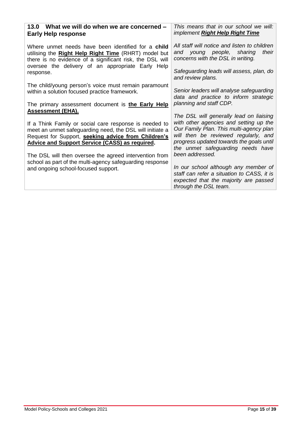| 13.0 What we will do when we are concerned -<br><b>Early Help response</b>                                                                                                                                                                                                                   | This means that in our school we will:<br>implement Right Help Right Time                                                                                                                                                                                                |
|----------------------------------------------------------------------------------------------------------------------------------------------------------------------------------------------------------------------------------------------------------------------------------------------|--------------------------------------------------------------------------------------------------------------------------------------------------------------------------------------------------------------------------------------------------------------------------|
| Where unmet needs have been identified for a <b>child</b><br>utilising the Right Help Right Time (RHRT) model but<br>there is no evidence of a significant risk, the DSL will                                                                                                                | All staff will notice and listen to children<br>and young people, sharing<br>their<br>concerns with the DSL in writing.                                                                                                                                                  |
| oversee the delivery of an appropriate Early Help<br>response.                                                                                                                                                                                                                               | Safeguarding leads will assess, plan, do<br>and review plans.                                                                                                                                                                                                            |
| The child/young person's voice must remain paramount<br>within a solution focused practice framework.                                                                                                                                                                                        | Senior leaders will analyse safeguarding<br>data and practice to inform strategic                                                                                                                                                                                        |
| The primary assessment document is <b>the Early Help</b><br><b>Assessment (EHA).</b>                                                                                                                                                                                                         | planning and staff CDP.                                                                                                                                                                                                                                                  |
| If a Think Family or social care response is needed to<br>meet an unmet safeguarding need, the DSL will initiate a<br>Request for Support, seeking advice from Children's<br><b>Advice and Support Service (CASS) as required.</b><br>The DSL will then oversee the agreed intervention from | The DSL will generally lead on liaising<br>with other agencies and setting up the<br>Our Family Plan. This multi-agency plan<br>will then be reviewed regularly, and<br>progress updated towards the goals until<br>the unmet safeguarding needs have<br>been addressed. |
| school as part of the multi-agency safeguarding response<br>and ongoing school-focused support.                                                                                                                                                                                              | In our school although any member of<br>staff can refer a situation to CASS, it is<br>expected that the majority are passed<br>through the DSL team.                                                                                                                     |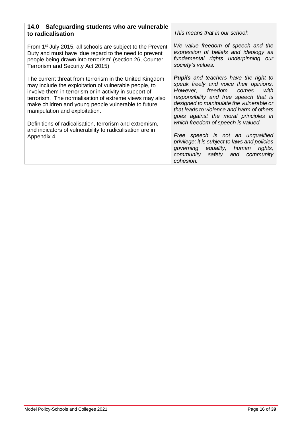| 14.0 Safeguarding students who are vulnerable<br>to radicalisation                                                                                                                                                                                                                                                                                                                                                                                                  | This means that in our school:                                                                                                                                                                                                                                                                                                                                                                                                                                                                                      |
|---------------------------------------------------------------------------------------------------------------------------------------------------------------------------------------------------------------------------------------------------------------------------------------------------------------------------------------------------------------------------------------------------------------------------------------------------------------------|---------------------------------------------------------------------------------------------------------------------------------------------------------------------------------------------------------------------------------------------------------------------------------------------------------------------------------------------------------------------------------------------------------------------------------------------------------------------------------------------------------------------|
| From 1 <sup>st</sup> July 2015, all schools are subject to the Prevent<br>Duty and must have 'due regard to the need to prevent<br>people being drawn into terrorism' (section 26, Counter<br>Terrorism and Security Act 2015)                                                                                                                                                                                                                                      | We value freedom of speech and the<br>expression of beliefs and ideology as<br>fundamental rights underpinning our<br>society's values.                                                                                                                                                                                                                                                                                                                                                                             |
| The current threat from terrorism in the United Kingdom<br>may include the exploitation of vulnerable people, to<br>involve them in terrorism or in activity in support of<br>terrorism. The normalisation of extreme views may also<br>make children and young people vulnerable to future<br>manipulation and exploitation.<br>Definitions of radicalisation, terrorism and extremism,<br>and indicators of vulnerability to radicalisation are in<br>Appendix 4. | <b>Pupils</b> and teachers have the right to<br>speak freely and voice their opinions.<br>However, freedom comes<br>with<br>responsibility and free speech that is<br>designed to manipulate the vulnerable or<br>that leads to violence and harm of others<br>goes against the moral principles in<br>which freedom of speech is valued.<br>Free speech is not an unqualified<br>privilege; it is subject to laws and policies<br>governing equality, human rights,<br>community safety and community<br>cohesion. |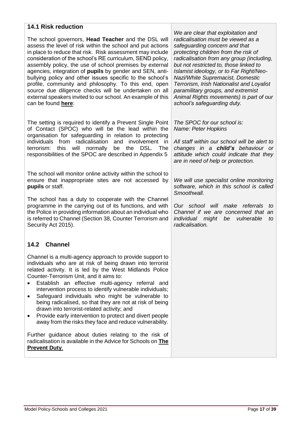## **14.1 Risk reduction**

The school governors, **Head Teacher** and the DSL will assess the level of risk within the school and put actions in place to reduce that risk. Risk assessment may include consideration of the school's RE curriculum, SEND policy, assembly policy, the use of school premises by external agencies, integration of **pupils** by gender and SEN, antibullying policy and other issues specific to the school's profile, community and philosophy. To this end, open source due diligence checks will be undertaken on all external speakers invited to our school. An example of this can be found **[here](https://www.birmingham.gov.uk/downloads/download/773/the_prevent_duty)**:

The setting is required to identify a Prevent Single Point of Contact (SPOC) who will be the lead within the organisation for safeguarding in relation to protecting individuals from radicalisation and involvement in terrorism: this will normally be the DSL. The responsibilities of the SPOC are described in Appendix 5

The school will monitor online activity within the school to ensure that inappropriate sites are not accessed by **pupils** or staff.

The school has a duty to cooperate with the Channel programme in the carrying out of its functions, and with the Police in providing information about an individual who is referred to Channel (Section 38, Counter Terrorism and Security Act 2015).

## **14.2 Channel**

Channel is a multi-agency approach to provide support to individuals who are at risk of being drawn into terrorist related activity. It is led by the West Midlands Police Counter-Terrorism Unit, and it aims to:

- Establish an effective multi-agency referral and intervention process to identify vulnerable individuals;
- Safeguard individuals who might be vulnerable to being radicalised, so that they are not at risk of being drawn into terrorist-related activity; and
- Provide early intervention to protect and divert people away from the risks they face and reduce vulnerability.

Further guidance about duties relating to the risk of radicalisation is available in the Advice for Schools on **[The](https://www.gov.uk/government/publications/protecting-children-from-radicalisation-the-prevent-duty)  [Prevent Duty](https://www.gov.uk/government/publications/protecting-children-from-radicalisation-the-prevent-duty)**.

*We are clear that exploitation and radicalisation must be viewed as a safeguarding concern and that protecting children from the risk of radicalisation from any group (including, but not restricted to, those linked to Islamist ideology, or to Far Right/Neo-Nazi/White Supremacist, Domestic Terrorism, Irish Nationalist and Loyalist paramilitary groups, and extremist Animal Rights movements) is part of our school's safeguarding duty.*

*The SPOC for our school is: Name: Peter Hopkins*

*All staff within our school will be alert to changes in a child's behaviour or attitude which could indicate that they are in need of help or protection.*

*We will use specialist online monitoring software, which in this school is called Smoothwall.*

*Our school will make referrals to Channel if we are concerned that an individual might be vulnerable to radicalisation.*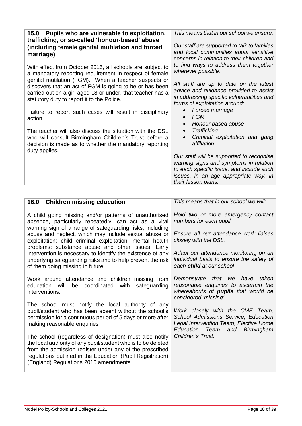| 15.0 Pupils who are vulnerable to exploitation,<br>trafficking, or so-called 'honour-based' abuse                                | This means that in our school we ensure:                                             |
|----------------------------------------------------------------------------------------------------------------------------------|--------------------------------------------------------------------------------------|
| (including female genital mutilation and forced                                                                                  | Our staff are supported to talk to families<br>and local communities about sensitive |
| marriage)                                                                                                                        | concerns in relation to their children and                                           |
| With effect from October 2015, all schools are subject to<br>a mandatory reporting requirement in respect of female              | to find ways to address them together<br>wherever possible.                          |
| genital mutilation (FGM). When a teacher suspects or<br>discovers that an act of FGM is going to be or has been                  | All staff are up to date on the latest<br>advice and guidance provided to assist     |
| carried out on a girl aged 18 or under, that teacher has a<br>statutory duty to report it to the Police.                         | in addressing specific vulnerabilities and<br>forms of exploitation around;          |
| Failure to report such cases will result in disciplinary                                                                         | Forced marriage<br><b>FGM</b><br>$\bullet$                                           |
| action.                                                                                                                          | Honour based abuse                                                                   |
| The teacher will also discuss the situation with the DSL                                                                         | Trafficking<br>$\bullet$                                                             |
| who will consult Birmingham Children's Trust before a<br>decision is made as to whether the mandatory reporting<br>duty applies. | Criminal exploitation and gang<br>affiliation                                        |
|                                                                                                                                  | Our staff will be supported to recognise                                             |
|                                                                                                                                  | warning signs and symptoms in relation<br>to each specific issue, and include such   |
|                                                                                                                                  | issues, in an age appropriate way, in<br>their lesson plans.                         |

| 16.0 Children missing education                                                                                                                                                                                                                                                            | This means that in our school we will:                                                                                                                     |
|--------------------------------------------------------------------------------------------------------------------------------------------------------------------------------------------------------------------------------------------------------------------------------------------|------------------------------------------------------------------------------------------------------------------------------------------------------------|
| A child going missing and/or patterns of unauthorised<br>absence, particularly repeatedly, can act as a vital<br>warning sign of a range of safeguarding risks, including                                                                                                                  | Hold two or more emergency contact<br>numbers for each pupil.                                                                                              |
| abuse and neglect, which may include sexual abuse or<br>exploitation; child criminal exploitation; mental health<br>problems; substance abuse and other issues. Early                                                                                                                      | Ensure all our attendance work liaises<br>closely with the DSL.                                                                                            |
| intervention is necessary to identify the existence of any<br>underlying safeguarding risks and to help prevent the risk<br>of them going missing in future.                                                                                                                               | Adapt our attendance monitoring on an<br>individual basis to ensure the safety of<br>each child at our school                                              |
| Work around attendance and children missing from<br>safeguarding<br>education will<br>be coordinated<br>with<br>interventions.                                                                                                                                                             | that<br>taken<br>Demonstrate<br>we<br>have<br>reasonable enquiries to ascertain the<br>whereabouts of <b>pupils</b> that would be<br>considered 'missing'. |
| The school must notify the local authority of any<br>pupil/student who has been absent without the school's<br>permission for a continuous period of 5 days or more after<br>making reasonable enquiries                                                                                   | Work closely with the CME Team,<br>School Admissions Service, Education<br>Legal Intervention Team, Elective Home<br>Education<br>Team<br>and Birmingham   |
| The school (regardless of designation) must also notify<br>the local authority of any pupil/student who is to be deleted<br>from the admission register under any of the prescribed<br>regulations outlined in the Education (Pupil Registration)<br>(England) Regulations 2016 amendments | Children's Trust.                                                                                                                                          |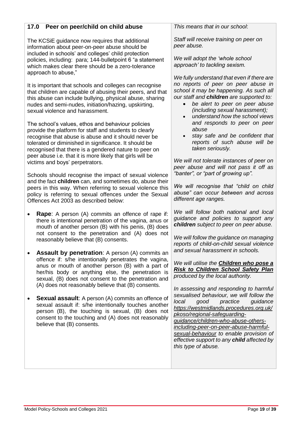# **17.0 Peer on peer/child on child abuse**

The KCSiE guidance now requires that additional information about peer-on-peer abuse should be included in schools' and colleges' child protection policies, including: para; 144-bulletpoint 6 "a statement which makes clear there should be a zero-tolerance approach to abuse,"

It is important that schools and colleges can recognise that children are capable of abusing their peers, and that this abuse can include bullying, physical abuse, sharing nudes and semi-nudes, initiation/hazing, upskirting, sexual violence and harassment.

The school's values, ethos and behaviour policies provide the platform for staff and students to clearly recognise that abuse is abuse and it should never be tolerated or diminished in significance. It should be recognised that there is a gendered nature to peer on peer abuse i.e. that it is more likely that girls will be victims and boys' perpetrators.

Schools should recognise the impact of sexual violence and the fact **children** can, and sometimes do, abuse their peers in this way. When referring to sexual violence this policy is referring to sexual offences under the Sexual Offences Act 2003 as described below:

- **Rape**: A person (A) commits an offence of rape if: there is intentional penetration of the vagina, anus or mouth of another person (B) with his penis, (B) does not consent to the penetration and (A) does not reasonably believe that (B) consents.
- **Assault by penetration**: A person (A) commits an offence if: s/he intentionally penetrates the vagina, anus or mouth of another person (B) with a part of her/his body or anything else, the penetration is sexual, (B) does not consent to the penetration and (A) does not reasonably believe that (B) consents.
- **Sexual assault**: A person (A) commits an offence of sexual assault if: s/he intentionally touches another person (B), the touching is sexual, (B) does not consent to the touching and (A) does not reasonably believe that (B) consents.

*This means that in our school*:

*Staff will receive training on peer on peer abuse.*

*We will adopt the 'whole school approach' to tackling sexism.*

*We fully understand that even if there are no reports of peer on peer abuse in school it may be happening. As such all our staff and children are supported to:* 

- *be alert to peer on peer abuse (including sexual harassment);*
- *understand how the school views and responds to peer on peer abuse*
- *stay safe and be confident that reports of such abuse will be taken seriously.*

*We will not tolerate instances of peer on peer abuse and will not pass it off as "banter", or "part of growing up".* 

*We will recognise that "child on child abuse" can occur between and across different age ranges.*

*We will follow both national and local guidance and policies to support any children subject to peer on peer abuse.*

*We will follow the guidance on managing reports of child-on-child sexual violence and sexual harassment in schools.*

*We will utilise the [Children who pose a](https://www.birmingham.gov.uk/downloads/file/9504/children_who_pose_a_risk_to_children)  [Risk to Children School Safety Plan](https://www.birmingham.gov.uk/downloads/file/9504/children_who_pose_a_risk_to_children) produced by the local authority.*

*In assessing and responding to harmful sexualised behaviour, we will follow the local good practice guidance [https://westmidlands.procedures.org.uk/](https://westmidlands.procedures.org.uk/pkoso/regional-safeguarding-guidance/children-who-abuse-others-including-peer-on-peer-abuse-harmful-sexual-behaviour) [pkoso/regional-safeguarding](https://westmidlands.procedures.org.uk/pkoso/regional-safeguarding-guidance/children-who-abuse-others-including-peer-on-peer-abuse-harmful-sexual-behaviour)[guidance/children-who-abuse-others](https://westmidlands.procedures.org.uk/pkoso/regional-safeguarding-guidance/children-who-abuse-others-including-peer-on-peer-abuse-harmful-sexual-behaviour)[including-peer-on-peer-abuse-harmful](https://westmidlands.procedures.org.uk/pkoso/regional-safeguarding-guidance/children-who-abuse-others-including-peer-on-peer-abuse-harmful-sexual-behaviour)[sexual-behaviour](https://westmidlands.procedures.org.uk/pkoso/regional-safeguarding-guidance/children-who-abuse-others-including-peer-on-peer-abuse-harmful-sexual-behaviour) to enable provision of effective support to any child affected by this type of abuse.*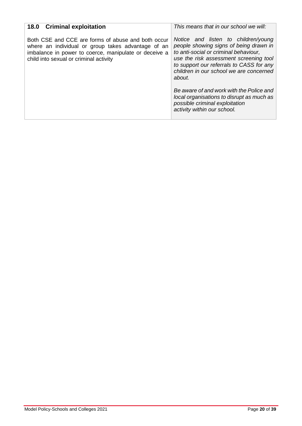| <b>Criminal exploitation</b><br>18.0                                                                                                                                                                        | This means that in our school we will:                                                                                                                                                                                                                                                                                                                     |
|-------------------------------------------------------------------------------------------------------------------------------------------------------------------------------------------------------------|------------------------------------------------------------------------------------------------------------------------------------------------------------------------------------------------------------------------------------------------------------------------------------------------------------------------------------------------------------|
| Both CSE and CCE are forms of abuse and both occur<br>where an individual or group takes advantage of an<br>imbalance in power to coerce, manipulate or deceive a<br>child into sexual or criminal activity | Notice and listen to children/young<br>people showing signs of being drawn in<br>to anti-social or criminal behaviour,<br>use the risk assessment screening tool<br>to support our referrals to CASS for any<br>children in our school we are concerned<br>about.<br>Be aware of and work with the Police and<br>local organisations to disrupt as much as |
|                                                                                                                                                                                                             | possible criminal exploitation<br>activity within our school.                                                                                                                                                                                                                                                                                              |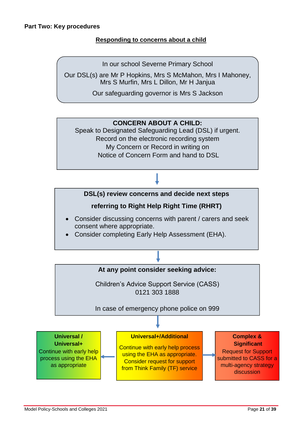#### **Part Two: Key procedures**

## **Responding to concerns about a child**

In our school Severne Primary School

Our DSL(s) are Mr P Hopkins, Mrs S McMahon, Mrs I Mahoney, Mrs S Murfin, Mrs L Dillon, Mr H Janjua

Our safeguarding governor is Mrs S Jackson

# **CONCERN ABOUT A CHILD:**

Speak to Designated Safeguarding Lead (DSL) if urgent. Record on the electronic recording system My Concern or Record in writing on Notice of Concern Form and hand to DSL

# **DSL(s) review concerns and decide next steps**

# **referring to Right Help Right Time (RHRT)**

- Consider discussing concerns with parent / carers and seek consent where appropriate.
- Consider completing Early Help Assessment (EHA).

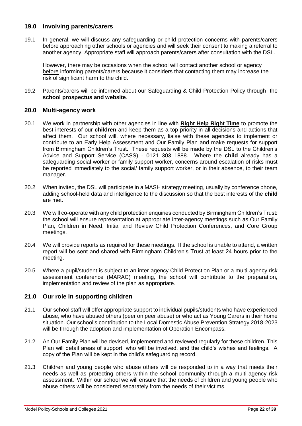#### **19.0 Involving parents/carers**

19.1 In general, we will discuss any safeguarding or child protection concerns with parents/carers before approaching other schools or agencies and will seek their consent to making a referral to another agency. Appropriate staff will approach parents/carers after consultation with the DSL.

However, there may be occasions when the school will contact another school or agency before informing parents/carers because it considers that contacting them may increase the risk of significant harm to the child.

19.2 Parents/carers will be informed about our Safeguarding & Child Protection Policy through the **school prospectus and website**.

#### **20.0 Multi-agency work**

- 20.1 We work in partnership with other agencies in line with **[Right Help Right Time](http://www.lscpbirmingham.org.uk/index.php/delivering-effective-support)** to promote the best interests of our **children** and keep them as a top priority in all decisions and actions that affect them. Our school will, where necessary, liaise with these agencies to implement or contribute to an Early Help Assessment and Our Family Plan and make requests for support from Birmingham Children's Trust. These requests will be made by the DSL to the Children's Advice and Support Service (CASS) - 0121 303 1888. Where the **child** already has a safeguarding social worker or family support worker, concerns around escalation of risks must be reported immediately to the social/ family support worker, or in their absence, to their team manager.
- 20.2 When invited, the DSL will participate in a MASH strategy meeting, usually by conference phone, adding school-held data and intelligence to the discussion so that the best interests of the **child**  are met.
- 20.3 We will co-operate with any child protection enquiries conducted by Birmingham Children's Trust: the school will ensure representation at appropriate inter-agency meetings such as Our Family Plan, Children in Need, Initial and Review Child Protection Conferences, and Core Group meetings.
- 20.4 We will provide reports as required for these meetings. If the school is unable to attend, a written report will be sent and shared with Birmingham Children's Trust at least 24 hours prior to the meeting.
- 20.5 Where a pupil/student is subject to an inter-agency Child Protection Plan or a multi-agency risk assessment conference (MARAC) meeting, the school will contribute to the preparation, implementation and review of the plan as appropriate.

## **21.0 Our role in supporting children**

- 21.1 Our school staff will offer appropriate support to individual pupils/students who have experienced abuse, who have abused others (peer on peer abuse) or who act as Young Carers in their home situation. Our school's contribution to the Local Domestic Abuse Prevention Strategy 2018-2023 will be through the adoption and implementation of Operation Encompass.
- 21.2 An Our Family Plan will be devised, implemented and reviewed regularly for these children. This Plan will detail areas of support, who will be involved, and the child's wishes and feelings. A copy of the Plan will be kept in the child's safeguarding record.
- 21.3 Children and young people who abuse others will be responded to in a way that meets their needs as well as protecting others within the school community through a multi-agency risk assessment. Within our school we will ensure that the needs of children and young people who abuse others will be considered separately from the needs of their victims.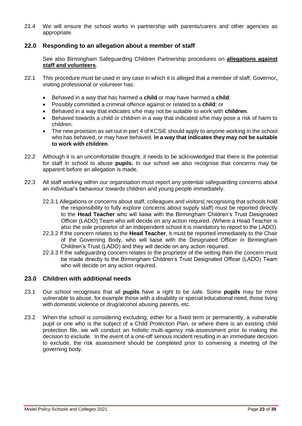21.4 We will ensure the school works in partnership with parents/carers and other agencies as appropriate.

## **22.0 Responding to an allegation about a member of staff**

See also Birmingham Safeguarding Children Partnership procedures on **[allegations against](http://westmidlands.procedures.org.uk/ykpzy/statutory-child-protection-procedures/allegations-against-staff-or-volunteers)  [staff and volunteers](http://westmidlands.procedures.org.uk/ykpzy/statutory-child-protection-procedures/allegations-against-staff-or-volunteers)**.

- 22.1 This procedure must be used in any case in which it is alleged that a member of staff, Governor**,** visiting professional or volunteer has:
	- Behaved in a way that has harmed a **child** or may have harmed a **child**;
	- Possibly committed a criminal offence against or related to a **child**; or
	- Behaved in a way that indicates s/he may not be suitable to work with **children**.
	- Behaved towards a child or children in a way that indicated s/he may pose a risk of harm to children.
	- The new provision as set out in part 4 of KCSiE should apply to anyone working in the school who has behaved, or may have behaved, **in a way that indicates they may not be suitable to work with children**.
- 22.2 Although it is an uncomfortable thought, it needs to be acknowledged that there is the potential for staff in school to abuse **pupils.** In our school we also recognise that concerns may be apparent before an allegation is made.
- 22.3 All staff working within our organisation must report any potential safeguarding concerns about an individual's behaviour towards children and young people immediately.
	- 22.3.1 Allegations or concerns about staff, colleagues and visitors( recognising that schools hold the responsibility to fully explore concerns about supply staff) must be reported directly to the **Head Teacher** who will liaise with the Birmingham Children's Trust Designated Officer (LADO) Team who will decide on any action required. (Where a Head Teacher is also the sole proprietor of an independent school it is mandatory to report to the LADO).
	- 22.3.2 If the concern relates to the **Head Teacher**, it must be reported immediately to the Chair of the Governing Body, who will liaise with the Designated Officer in Birmingham Children's Trust (LADO) and they will decide on any action required.
	- 22.3.3 If the safeguarding concern relates to the proprietor of the setting then the concern must be made directly to the Birmingham Children's Trust Designated Officer (LADO) Team who will decide on any action required.

## **23.0 Children with additional needs**

- 23.1 Our school recognises that all **pupils** have a right to be safe. Some **pupils** may be more vulnerable to abuse, for example those with a disability or special educational need, those living with domestic violence or drug/alcohol abusing parents, etc.
- 23.2 When the school is considering excluding, either for a fixed term or permanently, a vulnerable pupil or one who is the subject of a Child Protection Plan, or where there is an existing child protection file, we will conduct an holistic multi-agency risk-assessment prior to making the decision to exclude. In the event of a one-off serious incident resulting in an immediate decision to exclude, the risk assessment should be completed prior to convening a meeting of the governing body.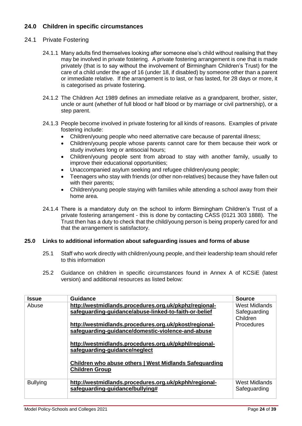## **24.0 Children in specific circumstances**

## 24.1 Private Fostering

- 24.1.1 Many adults find themselves looking after someone else's child without realising that they may be involved in private fostering. A private fostering arrangement is one that is made privately (that is to say without the involvement of Birmingham Children's Trust) for the care of a child under the age of 16 (under 18, if disabled) by someone other than a parent or immediate relative. If the arrangement is to last, or has lasted, for 28 days or more, it is categorised as private fostering.
- 24.1.2 The Children Act 1989 defines an immediate relative as a grandparent, brother, sister, uncle or aunt (whether of full blood or half blood or by marriage or civil partnership), or a step parent.
- 24.1.3 People become involved in private fostering for all kinds of reasons. Examples of private fostering include:
	- Children/young people who need alternative care because of parental illness;
	- Children/young people whose parents cannot care for them because their work or study involves long or antisocial hours;
	- Children/young people sent from abroad to stay with another family, usually to improve their educational opportunities;
	- Unaccompanied asylum seeking and refugee children/young people;
	- Teenagers who stay with friends (or other non-relatives) because they have fallen out with their parents;
	- Children/young people staying with families while attending a school away from their home area.
- 24.1.4 There is a mandatory duty on the school to inform Birmingham Children's Trust of a private fostering arrangement - this is done by contacting CASS (0121 303 1888). The Trust then has a duty to check that the child/young person is being properly cared for and that the arrangement is satisfactory.

#### **25.0 Links to additional information about safeguarding issues and forms of abuse**

- 25.1 Staff who work directly with children/young people, and their leadership team should refer to this information
- 25.2 Guidance on children in specific circumstances found in Annex A of KCSiE (latest version) and additional resources as listed below:

| Issue           | <b>Guidance</b>                                                                                                                                  | <b>Source</b>                 |
|-----------------|--------------------------------------------------------------------------------------------------------------------------------------------------|-------------------------------|
| Abuse           | http://westmidlands.procedures.org.uk/pkphz/regional-                                                                                            | <b>West Midlands</b>          |
|                 | safeguarding-guidance/abuse-linked-to-faith-or-belief                                                                                            | Safeguarding                  |
|                 |                                                                                                                                                  | Children                      |
|                 | http://westmidlands.procedures.org.uk/pkost/regional-                                                                                            | Procedures                    |
|                 | safeguarding-guidance/domestic-violence-and-abuse                                                                                                |                               |
|                 | http://westmidlands.procedures.org.uk/pkphl/regional-<br>safeguarding-guidance/neglect<br>Children who abuse others   West Midlands Safeguarding |                               |
|                 | <b>Children Group</b>                                                                                                                            |                               |
| <b>Bullying</b> | http://westmidlands.procedures.org.uk/pkphh/regional-<br>safeguarding-guidance/bullying#                                                         | West Midlands<br>Safeguarding |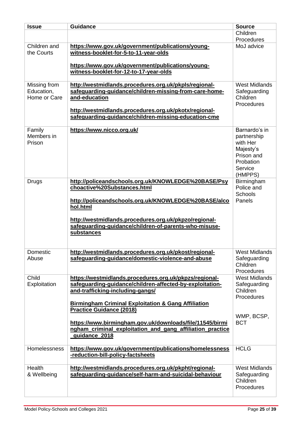| <b>Issue</b>                               | <b>Guidance</b>                                                                                                                                                                                                                                             | <b>Source</b>                                                                                          |
|--------------------------------------------|-------------------------------------------------------------------------------------------------------------------------------------------------------------------------------------------------------------------------------------------------------------|--------------------------------------------------------------------------------------------------------|
|                                            |                                                                                                                                                                                                                                                             | Children                                                                                               |
| Children and                               | https://www.gov.uk/government/publications/young-                                                                                                                                                                                                           | Procedures<br>MoJ advice                                                                               |
| the Courts                                 | witness-booklet-for-5-to-11-year-olds                                                                                                                                                                                                                       |                                                                                                        |
|                                            | https://www.gov.uk/government/publications/young-<br>witness-booklet-for-12-to-17-year-olds                                                                                                                                                                 |                                                                                                        |
| Missing from<br>Education,<br>Home or Care | http://westmidlands.procedures.org.uk/pkpls/regional-<br>safeguarding-guidance/children-missing-from-care-home-<br>and-education                                                                                                                            | <b>West Midlands</b><br>Safeguarding<br>Children                                                       |
|                                            | http://westmidlands.procedures.org.uk/pkotx/regional-                                                                                                                                                                                                       | Procedures                                                                                             |
|                                            | safeguarding-guidance/children-missing-education-cme                                                                                                                                                                                                        |                                                                                                        |
| Family<br>Members in<br>Prison             | https://www.nicco.org.uk/                                                                                                                                                                                                                                   | Barnardo's in<br>partnership<br>with Her<br>Majesty's<br>Prison and<br>Probation<br>Service<br>(HMPPS) |
| Drugs                                      | http://policeandschools.org.uk/KNOWLEDGE%20BASE/Psy<br>choactive%20Substances.html                                                                                                                                                                          | Birmingham<br>Police and                                                                               |
|                                            | http://policeandschools.org.uk/KNOWLEDGE%20BASE/alco<br>hol.html<br>http://westmidlands.procedures.org.uk/pkpzo/regional-<br>safeguarding-guidance/children-of-parents-who-misuse-<br>substances                                                            | <b>Schools</b><br>Panels                                                                               |
|                                            |                                                                                                                                                                                                                                                             | <b>West Midlands</b>                                                                                   |
| Domestic<br>Abuse                          | http://westmidlands.procedures.org.uk/pkost/regional-<br>safeguarding-guidance/domestic-violence-and-abuse                                                                                                                                                  | Safeguarding<br>Children<br>Procedures                                                                 |
| Child<br>Exploitation                      | https://westmidlands.procedures.org.uk/pkpzs/regional-<br>safeguarding-guidance/children-affected-by-exploitation-<br>and-trafficking-including-gangs/<br><b>Birmingham Criminal Exploitation &amp; Gang Affiliation</b><br><b>Practice Guidance (2018)</b> | <b>West Midlands</b><br>Safeguarding<br>Children<br>Procedures                                         |
|                                            | https://www.birmingham.gov.uk/downloads/file/11545/birmi<br>ngham_criminal_exploitation_and_gang_affiliation_practice<br>guidance_2018                                                                                                                      | WMP, BCSP,<br><b>BCT</b>                                                                               |
| Homelessness                               | https://www.gov.uk/government/publications/homelessness<br>-reduction-bill-policy-factsheets                                                                                                                                                                | <b>HCLG</b>                                                                                            |
| Health<br>& Wellbeing                      | http://westmidlands.procedures.org.uk/pkpht/regional-<br>safeguarding-guidance/self-harm-and-suicidal-behaviour                                                                                                                                             | <b>West Midlands</b><br>Safeguarding<br>Children<br>Procedures                                         |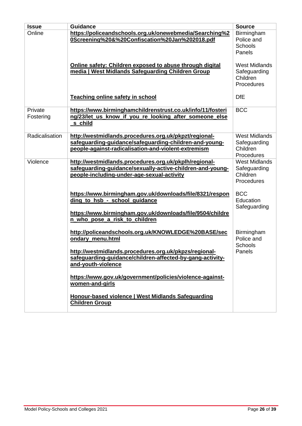| <b>Issue</b>         | <b>Guidance</b>                                                                                                                                                        | <b>Source</b>                                                  |
|----------------------|------------------------------------------------------------------------------------------------------------------------------------------------------------------------|----------------------------------------------------------------|
| Online               | https://policeandschools.org.uk/onewebmedia/Searching%2<br>0Screening%20&%20Confiscation%20Jan%202018.pdf                                                              | Birmingham<br>Police and<br><b>Schools</b><br>Panels           |
|                      | Online safety: Children exposed to abuse through digital<br>media   West Midlands Safeguarding Children Group                                                          | <b>West Midlands</b><br>Safeguarding<br>Children<br>Procedures |
|                      | <b>Teaching online safety in school</b>                                                                                                                                | <b>DfE</b>                                                     |
| Private<br>Fostering | https://www.birminghamchildrenstrust.co.uk/info/11/fosteri<br>ng/23/let_us_know_if_you_re_looking_after_someone_else<br>s child                                        | <b>BCC</b>                                                     |
| Radicalisation       | http://westmidlands.procedures.org.uk/pkpzt/regional-<br>safeguarding-guidance/safeguarding-children-and-young-<br>people-against-radicalisation-and-violent-extremism | <b>West Midlands</b><br>Safeguarding<br>Children<br>Procedures |
| Violence             | http://westmidlands.procedures.org.uk/pkplh/regional-<br>safeguarding-guidance/sexually-active-children-and-young-<br>people-including-under-age-sexual-activity       | <b>West Midlands</b><br>Safeguarding<br>Children<br>Procedures |
|                      | https://www.birmingham.gov.uk/downloads/file/8321/respon<br>ding to hsb - school guidance                                                                              | <b>BCC</b><br>Education<br>Safeguarding                        |
|                      | https://www.birmingham.gov.uk/downloads/file/9504/childre<br>n who pose a risk to children                                                                             |                                                                |
|                      | http://policeandschools.org.uk/KNOWLEDGE%20BASE/sec<br>ondary_menu.html                                                                                                | Birmingham<br>Police and<br>Schools                            |
|                      | http://westmidlands.procedures.org.uk/pkpzs/regional-<br>safeguarding-guidance/children-affected-by-gang-activity-<br>and-youth-violence                               | Panels                                                         |
|                      | https://www.gov.uk/government/policies/violence-against-<br>women-and-girls                                                                                            |                                                                |
|                      | Honour-based violence   West Midlands Safeguarding<br><b>Children Group</b>                                                                                            |                                                                |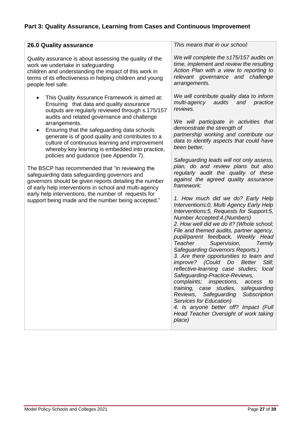| <b>26.0 Quality assurance</b>                                                                                                                                                                                                                                                     | This means that in our school:                                                                                                                                                                                                                                                                                                                                                                                                                                                                                                                                                                                                                                                                                                                                                |
|-----------------------------------------------------------------------------------------------------------------------------------------------------------------------------------------------------------------------------------------------------------------------------------|-------------------------------------------------------------------------------------------------------------------------------------------------------------------------------------------------------------------------------------------------------------------------------------------------------------------------------------------------------------------------------------------------------------------------------------------------------------------------------------------------------------------------------------------------------------------------------------------------------------------------------------------------------------------------------------------------------------------------------------------------------------------------------|
| Quality assurance is about assessing the quality of the<br>work we undertake in safeguarding<br>children and understanding the impact of this work in<br>terms of its effectiveness in helping children and young<br>people feel safe.                                            | We will complete the s175/157 audits on<br>time, implement and review the resulting<br>Action Plan with a view to reporting to<br>relevant governance and challenge<br>arrangements.                                                                                                                                                                                                                                                                                                                                                                                                                                                                                                                                                                                          |
| This Quality Assurance Framework is aimed at:<br>Ensuring that data and quality assurance<br>outputs are regularly reviewed through s.175/157                                                                                                                                     | We will contribute quality data to inform<br>multi-agency<br>audits<br>and<br>practice<br>reviews.                                                                                                                                                                                                                                                                                                                                                                                                                                                                                                                                                                                                                                                                            |
| audits and related governance and challenge<br>arrangements.<br>Ensuring that the safeguarding data schools<br>$\bullet$<br>generate is of good quality and contributes to a<br>culture of continuous learning and improvement<br>whereby key learning is embedded into practice, | We will participate in activities that<br>demonstrate the strength of<br>partnership working and contribute our<br>data to identify aspects that could have<br>been better.                                                                                                                                                                                                                                                                                                                                                                                                                                                                                                                                                                                                   |
| policies and guidance (see Appendix 7).<br>The BSCP has recommended that "in reviewing the<br>safeguarding data safeguarding governors and<br>governors should be given reports detailing the number<br>of early help interventions in school and multi-agency                    | Safeguarding leads will not only assess,<br>plan, do and review plans but also<br>regularly audit the quality of these<br>against the agreed quality assurance<br>framework:                                                                                                                                                                                                                                                                                                                                                                                                                                                                                                                                                                                                  |
| early help interventions, the number of requests for<br>support being made and the number being accepted."                                                                                                                                                                        | 1. How much did we do? Early Help<br>Interventions: 0, Multi Agency Early Help<br>Interventions: 5, Requests for Support: 5,<br>Number Accepted: 4. (Numbers)<br>2. How well did we do it? (Whole school;<br>File and themed audits, partner agency,<br>pupil/parent feedback, Weekly Head<br>Teacher<br>Supervision,<br>Termly<br>Safeguarding Governors Reports.)<br>3. Are there opportunities to learn and<br>improve? (Could Do Better Still;<br>reflective-learning case studies; local<br>Safeguarding-Practice-Reviews,<br>complaints; inspections, access<br>to<br>training, case studies, safeguarding<br>Reviews, Safeguarding Subscription<br>Services for Education)<br>4. Is anyone better off? Impact (Full<br>Head Teacher Oversight of work taking<br>place) |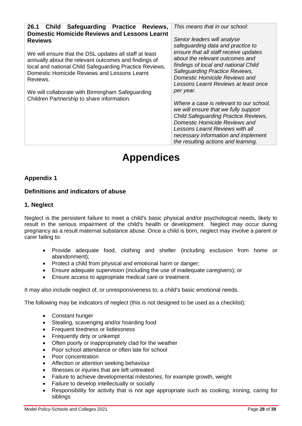| 26.1 Child Safeguarding Practice Reviews,                                                                                                                                                                                                                                                                                                                                                                        | This means that in our school:                                                                                                                                                                                                                                                                                                                                                                  |
|------------------------------------------------------------------------------------------------------------------------------------------------------------------------------------------------------------------------------------------------------------------------------------------------------------------------------------------------------------------------------------------------------------------|-------------------------------------------------------------------------------------------------------------------------------------------------------------------------------------------------------------------------------------------------------------------------------------------------------------------------------------------------------------------------------------------------|
| <b>Domestic Homicide Reviews and Lessons Learnt</b><br><b>Reviews</b><br>We will ensure that the DSL updates all staff at least<br>annually about the relevant outcomes and findings of<br>local and national Child Safeguarding Practice Reviews,<br>Domestic Homicide Reviews and Lessons Learnt<br>Reviews.<br>We will collaborate with Birmingham Safeguarding<br>Children Partnership to share information. | Senior leaders will analyse<br>safeguarding data and practice to<br>ensure that all staff receive updates<br>about the relevant outcomes and<br>findings of local and national Child<br>Safeguarding Practice Reviews,<br>Domestic Homicide Reviews and<br>Lessons Learnt Reviews at least once<br>per year.<br>Where a case is relevant to our school,<br>we will ensure that we fully support |
|                                                                                                                                                                                                                                                                                                                                                                                                                  | <b>Child Safeguarding Practice Reviews,</b><br>Domestic Homicide Reviews and<br>Lessons Learnt Reviews with all                                                                                                                                                                                                                                                                                 |
|                                                                                                                                                                                                                                                                                                                                                                                                                  | necessary information and implement<br>the resulting actions and learning.                                                                                                                                                                                                                                                                                                                      |

# **Appendices**

## **Appendix 1**

## **Definitions and indicators of abuse**

#### **1. Neglect**

Neglect is the persistent failure to meet a child's basic physical and/or psychological needs, likely to result in the serious impairment of the child's health or development. Neglect may occur during pregnancy as a result maternal substance abuse. Once a child is born, neglect may involve a parent or carer failing to:

- Provide adequate food, clothing and shelter (including exclusion from home or abandonment);
- Protect a child from physical and emotional harm or danger;
- Ensure adequate supervision (including the use of inadequate caregivers); or
- Ensure access to appropriate medical care or treatment.

It may also include neglect of, or unresponsiveness to, a child's basic emotional needs.

The following may be indicators of neglect (this is not designed to be used as a checklist):

- Constant hunger
- Stealing, scavenging and/or hoarding food
- Frequent tiredness or listlessness
- Frequently dirty or unkempt
- Often poorly or inappropriately clad for the weather
- Poor school attendance or often late for school
- Poor concentration
- Affection or attention seeking behaviour
- Illnesses or injuries that are left untreated
- Failure to achieve developmental milestones, for example growth, weight
- Failure to develop intellectually or socially
- Responsibility for activity that is not age appropriate such as cooking, ironing, caring for siblings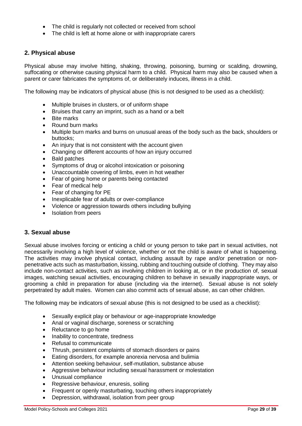- The child is regularly not collected or received from school
- The child is left at home alone or with inappropriate carers

## **2. Physical abuse**

Physical abuse may involve hitting, shaking, throwing, poisoning, burning or scalding, drowning, suffocating or otherwise causing physical harm to a child. Physical harm may also be caused when a parent or carer fabricates the symptoms of, or deliberately induces, illness in a child.

The following may be indicators of physical abuse (this is not designed to be used as a checklist):

- Multiple bruises in clusters, or of uniform shape
- Bruises that carry an imprint, such as a hand or a belt
- **Bite marks**
- Round burn marks
- Multiple burn marks and burns on unusual areas of the body such as the back, shoulders or buttocks;
- An injury that is not consistent with the account given
- Changing or different accounts of how an injury occurred
- Bald patches
- Symptoms of drug or alcohol intoxication or poisoning
- Unaccountable covering of limbs, even in hot weather
- Fear of going home or parents being contacted
- Fear of medical help
- Fear of changing for PE
- Inexplicable fear of adults or over-compliance
- Violence or aggression towards others including bullying
- Isolation from peers

## **3. Sexual abuse**

Sexual abuse involves forcing or enticing a child or young person to take part in sexual activities, not necessarily involving a high level of violence, whether or not the child is aware of what is happening. The activities may involve physical contact, including assault by rape and/or penetration or nonpenetrative acts such as masturbation, kissing, rubbing and touching outside of clothing*.* They may also include non-contact activities, such as involving children in looking at, or in the production of, sexual images, watching sexual activities, encouraging children to behave in sexually inappropriate ways, or grooming a child in preparation for abuse (including via the internet). Sexual abuse is not solely perpetrated by adult males. Women can also commit acts of sexual abuse, as can other children.

The following may be indicators of sexual abuse (this is not designed to be used as a checklist):

- Sexually explicit play or behaviour or age-inappropriate knowledge
- Anal or vaginal discharge, soreness or scratching
- Reluctance to go home
- Inability to concentrate, tiredness
- Refusal to communicate
- Thrush, persistent complaints of stomach disorders or pains
- Eating disorders, for example anorexia nervosa and bulimia
- Attention seeking behaviour, self-mutilation, substance abuse
- Aggressive behaviour including sexual harassment or molestation
- Unusual compliance
- Regressive behaviour, enuresis, soiling
- Frequent or openly masturbating, touching others inappropriately
- Depression, withdrawal, isolation from peer group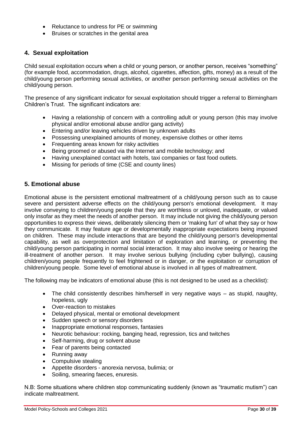- Reluctance to undress for PE or swimming
- Bruises or scratches in the genital area

## **4. Sexual exploitation**

Child sexual exploitation occurs when a child or young person, or another person, receives "something" (for example food, accommodation, drugs, alcohol, cigarettes, affection, gifts, money) as a result of the child/young person performing sexual activities, or another person performing sexual activities on the child/young person.

The presence of any significant indicator for sexual exploitation should trigger a referral to Birmingham Children's Trust. The significant indicators are:

- Having a relationship of concern with a controlling adult or young person (this may involve physical and/or emotional abuse and/or gang activity)
- Entering and/or leaving vehicles driven by unknown adults
- Possessing unexplained amounts of money, expensive clothes or other items
- Frequenting areas known for risky activities
- Being groomed or abused via the Internet and mobile technology; and
- Having unexplained contact with hotels, taxi companies or fast food outlets.
- Missing for periods of time (CSE and county lines)

## **5. Emotional abuse**

Emotional abuse is the persistent emotional maltreatment of a child/young person such as to cause severe and persistent adverse effects on the child/young person's emotional development. It may involve conveying to children/young people that they are worthless or unloved, inadequate, or valued only insofar as they meet the needs of another person. It may include not giving the child/young person opportunities to express their views, deliberately silencing them or 'making fun' of what they say or how they communicate. It may feature age or developmentally inappropriate expectations being imposed on children. These may include interactions that are beyond the child/young person's developmental capability, as well as overprotection and limitation of exploration and learning, or preventing the child/young person participating in normal social interaction. It may also involve seeing or hearing the ill-treatment of another person. It may involve serious bullying (including cyber bullying)*,* causing children/young people frequently to feel frightened or in danger, or the exploitation or corruption of children/young people. Some level of emotional abuse is involved in all types of maltreatment.

The following may be indicators of emotional abuse (this is not designed to be used as a checklist):

- The child consistently describes him/herself in very negative ways as stupid, naughty, hopeless, ugly
- Over-reaction to mistakes
- Delayed physical, mental or emotional development
- Sudden speech or sensory disorders
- Inappropriate emotional responses, fantasies
- Neurotic behaviour: rocking, banging head, regression, tics and twitches
- Self-harming, drug or solvent abuse
- Fear of parents being contacted
- Running away
- Compulsive stealing
- Appetite disorders anorexia nervosa, bulimia; or
- Soiling, smearing faeces, enuresis.

N.B: Some situations where children stop communicating suddenly (known as "traumatic mutism") can indicate maltreatment.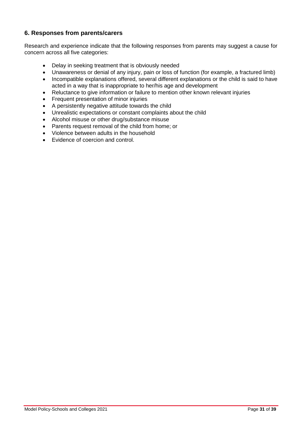## **6. Responses from parents/carers**

Research and experience indicate that the following responses from parents may suggest a cause for concern across all five categories:

- Delay in seeking treatment that is obviously needed
- Unawareness or denial of any injury, pain or loss of function (for example, a fractured limb)
- Incompatible explanations offered, several different explanations or the child is said to have acted in a way that is inappropriate to her/his age and development
- Reluctance to give information or failure to mention other known relevant injuries
- Frequent presentation of minor injuries
- A persistently negative attitude towards the child
- Unrealistic expectations or constant complaints about the child
- Alcohol misuse or other drug/substance misuse
- Parents request removal of the child from home; or
- Violence between adults in the household
- Evidence of coercion and control.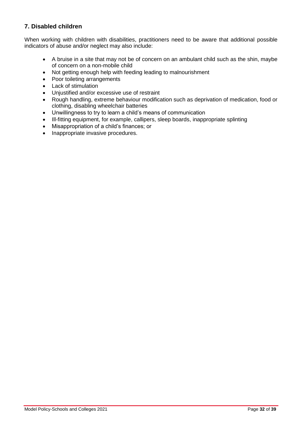# **7. Disabled children**

When working with children with disabilities, practitioners need to be aware that additional possible indicators of abuse and/or neglect may also include:

- A bruise in a site that may not be of concern on an ambulant child such as the shin, maybe of concern on a non-mobile child
- Not getting enough help with feeding leading to malnourishment
- Poor toileting arrangements
- Lack of stimulation
- Uniustified and/or excessive use of restraint
- Rough handling, extreme behaviour modification such as deprivation of medication, food or clothing, disabling wheelchair batteries
- Unwillingness to try to learn a child's means of communication
- Ill-fitting equipment, for example, callipers, sleep boards, inappropriate splinting
- Misappropriation of a child's finances; or
- Inappropriate invasive procedures.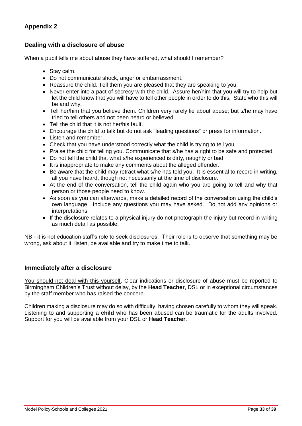## **Dealing with a disclosure of abuse**

When a pupil tells me about abuse they have suffered, what should I remember?

- Stay calm.
- Do not communicate shock, anger or embarrassment.
- Reassure the child. Tell them you are pleased that they are speaking to you.
- Never enter into a pact of secrecy with the child. Assure her/him that you will try to help but let the child know that you will have to tell other people in order to do this. State who this will be and why.
- Tell her/him that you believe them. Children very rarely lie about abuse; but s/he may have tried to tell others and not been heard or believed.
- Tell the child that it is not her/his fault.
- Encourage the child to talk but do not ask "leading questions" or press for information.
- Listen and remember.
- Check that you have understood correctly what the child is trying to tell you.
- Praise the child for telling you. Communicate that s/he has a right to be safe and protected.
- Do not tell the child that what s/he experienced is dirty, naughty or bad.
- It is inappropriate to make any comments about the alleged offender.
- Be aware that the child may retract what s/he has told you. It is essential to record in writing, all you have heard, though not necessarily at the time of disclosure.
- At the end of the conversation, tell the child again who you are going to tell and why that person or those people need to know.
- As soon as you can afterwards, make a detailed record of the conversation using the child's own language. Include any questions you may have asked. Do not add any opinions or interpretations.
- If the disclosure relates to a physical injury do not photograph the injury but record in writing as much detail as possible.

NB - it is not education staff's role to seek disclosures. Their role is to observe that something may be wrong, ask about it, listen, be available and try to make time to talk.

## **Immediately after a disclosure**

You should not deal with this yourself. Clear indications or disclosure of abuse must be reported to Birmingham Children's Trust without delay, by the **Head Teacher**, DSL or in exceptional circumstances by the staff member who has raised the concern.

Children making a disclosure may do so with difficulty, having chosen carefully to whom they will speak. Listening to and supporting a **child** who has been abused can be traumatic for the adults involved. Support for you will be available from your DSL or **Head Teacher**.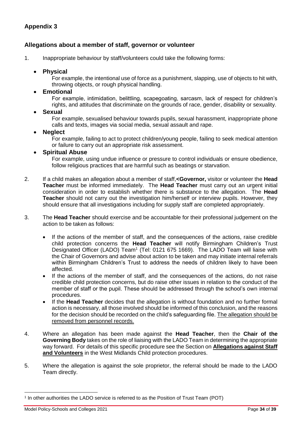## **Allegations about a member of staff, governor or volunteer**

1. Inappropriate behaviour by staff/volunteers could take the following forms:

#### • **Physical**

For example, the intentional use of force as a punishment, slapping, use of objects to hit with, throwing objects, or rough physical handling.

#### • **Emotional**

For example, intimidation, belittling, scapegoating, sarcasm, lack of respect for children's rights, and attitudes that discriminate on the grounds of race, gender, disability or sexuality.

#### • **Sexual**

For example, sexualised behaviour towards pupils, sexual harassment, inappropriate phone calls and texts, images via social media, sexual assault and rape.

#### • **Neglect**

For example, failing to act to protect children/young people, failing to seek medical attention or failure to carry out an appropriate risk assessment.

## • **Spiritual Abuse**

For example, using undue influence or pressure to control individuals or ensure obedience, follow religious practices that are harmful such as beatings or starvation.

- 2. If a child makes an allegation about a member of staff,**<Governor,** visitor or volunteer the **Head Teacher** must be informed immediately. The **Head Teacher** must carry out an urgent initial consideration in order to establish whether there is substance to the allegation. The **Head Teacher** should not carry out the investigation him/herself or interview pupils. However, they should ensure that all investigations including for supply staff are completed appropriately.
- 3. The **Head Teacher** should exercise and be accountable for their professional judgement on the action to be taken as follows:
	- If the actions of the member of staff, and the consequences of the actions, raise credible child protection concerns the **Head Teacher** will notify Birmingham Children's Trust Designated Officer (LADO) Team<sup>1</sup> (Tel: 0121 675 1669). The LADO Team will liaise with the Chair of Governors and advise about action to be taken and may initiate internal referrals within Birmingham Children's Trust to address the needs of children likely to have been affected.
	- If the actions of the member of staff, and the consequences of the actions, do not raise credible child protection concerns, but do raise other issues in relation to the conduct of the member of staff or the pupil. These should be addressed through the school's own internal procedures.
	- If the **Head Teacher** decides that the allegation is without foundation and no further formal action is necessary, all those involved should be informed of this conclusion, and the reasons for the decision should be recorded on the child's safeguarding file. The allegation should be removed from personnel records.
- 4. Where an allegation has been made against the **Head Teacher**, then the **Chair of the Governing Body** takes on the role of liaising with the LADO Team in determining the appropriate way forward. For details of this specific procedure see the Section on **[Allegations against Staff](http://westmidlands.procedures.org.uk/ykpzy/statutory-child-protection-procedures/allegations-against-staff-or-volunteers)  [and Volunteers](http://westmidlands.procedures.org.uk/ykpzy/statutory-child-protection-procedures/allegations-against-staff-or-volunteers)** in the West Midlands Child protection procedures.
- 5. Where the allegation is against the sole proprietor, the referral should be made to the LADO Team directly.

 $\overline{a}$ 

<sup>1</sup> In other authorities the LADO service is referred to as the Position of Trust Team (POT)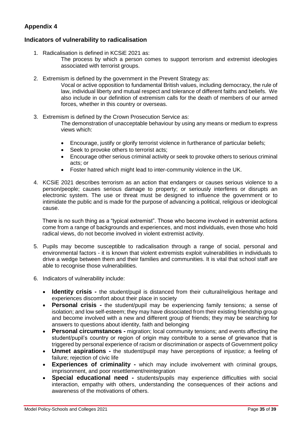## **Indicators of vulnerability to radicalisation**

- 1. Radicalisation is defined in KCSiE 2021 as:
	- The process by which a person comes to support terrorism and extremist ideologies associated with terrorist groups.
- 2. Extremism is defined by the government in the Prevent Strategy as:

Vocal or active opposition to fundamental British values, including democracy, the rule of law, individual liberty and mutual respect and tolerance of different faiths and beliefs. We also include in our definition of extremism calls for the death of members of our armed forces, whether in this country or overseas.

- 3. Extremism is defined by the Crown Prosecution Service as: The demonstration of unacceptable behaviour by using any means or medium to express views which:
	- Encourage, justify or glorify terrorist violence in furtherance of particular beliefs;
	- Seek to provoke others to terrorist acts;
	- Encourage other serious criminal activity or seek to provoke others to serious criminal acts; or
	- Foster hatred which might lead to inter-community violence in the UK.
- 4. KCSiE 2021 describes terrorism as an action that endangers or causes serious violence to a person/people; causes serious damage to property; or seriously interferes or disrupts an electronic system. The use or threat must be designed to influence the government or to intimidate the public and is made for the purpose of advancing a political, religious or ideological cause.

There is no such thing as a "typical extremist". Those who become involved in extremist actions come from a range of backgrounds and experiences, and most individuals, even those who hold radical views, do not become involved in violent extremist activity.

- 5. Pupils may become susceptible to radicalisation through a range of social, personal and environmental factors - it is known that violent extremists exploit vulnerabilities in individuals to drive a wedge between them and their families and communities. It is vital that school staff are able to recognise those vulnerabilities.
- 6. Indicators of vulnerability include:
	- **Identity crisis -** the student/pupil is distanced from their cultural/religious heritage and experiences discomfort about their place in society
	- **Personal crisis -** the student/pupil may be experiencing family tensions; a sense of isolation; and low self-esteem; they may have dissociated from their existing friendship group and become involved with a new and different group of friends; they may be searching for answers to questions about identity, faith and belonging
	- **Personal circumstances -** migration; local community tensions; and events affecting the student/pupil's country or region of origin may contribute to a sense of grievance that is triggered by personal experience of racism or discrimination or aspects of Government policy
	- **Unmet aspirations -** the student/pupil may have perceptions of injustice; a feeling of failure; rejection of civic life
	- **Experiences of criminality -** which may include involvement with criminal groups, imprisonment, and poor resettlement/reintegration
	- **Special educational need -** students/pupils may experience difficulties with social interaction, empathy with others, understanding the consequences of their actions and awareness of the motivations of others.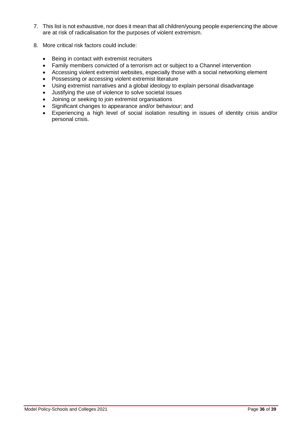- 7. This list is not exhaustive, nor does it mean that all children/young people experiencing the above are at risk of radicalisation for the purposes of violent extremism.
- 8. More critical risk factors could include:
	- Being in contact with extremist recruiters
	- Family members convicted of a terrorism act or subject to a Channel intervention
	- Accessing violent extremist websites, especially those with a social networking element
	- Possessing or accessing violent extremist literature
	- Using extremist narratives and a global ideology to explain personal disadvantage
	- Justifying the use of violence to solve societal issues
	- Joining or seeking to join extremist organisations
	- Significant changes to appearance and/or behaviour; and
	- Experiencing a high level of social isolation resulting in issues of identity crisis and/or personal crisis.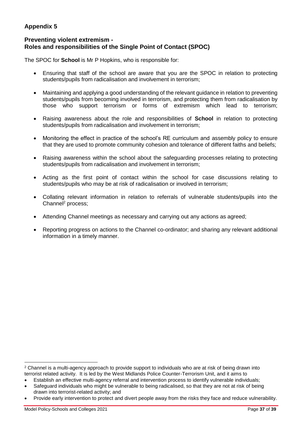## **Preventing violent extremism - Roles and responsibilities of the Single Point of Contact (SPOC)**

The SPOC for **School** is Mr P Hopkins, who is responsible for:

- Ensuring that staff of the school are aware that you are the SPOC in relation to protecting students/pupils from radicalisation and involvement in terrorism;
- Maintaining and applying a good understanding of the relevant guidance in relation to preventing students/pupils from becoming involved in terrorism, and protecting them from radicalisation by those who support terrorism or forms of extremism which lead to terrorism;
- Raising awareness about the role and responsibilities of **School** in relation to protecting students/pupils from radicalisation and involvement in terrorism;
- Monitoring the effect in practice of the school's RE curriculum and assembly policy to ensure that they are used to promote community cohesion and tolerance of different faiths and beliefs;
- Raising awareness within the school about the safeguarding processes relating to protecting students/pupils from radicalisation and involvement in terrorism;
- Acting as the first point of contact within the school for case discussions relating to students/pupils who may be at risk of radicalisation or involved in terrorism;
- Collating relevant information in relation to referrals of vulnerable students/pupils into the Channel<sup>2</sup> process:
- Attending Channel meetings as necessary and carrying out any actions as agreed;
- Reporting progress on actions to the Channel co-ordinator; and sharing any relevant additional information in a timely manner.

 $\overline{a}$ 

<sup>&</sup>lt;sup>2</sup> Channel is a multi-agency approach to provide support to individuals who are at risk of being drawn into terrorist related activity. It is led by the West Midlands Police Counter-Terrorism Unit, and it aims to

<sup>•</sup> Establish an effective multi-agency referral and intervention process to identify vulnerable individuals;

Safeguard individuals who might be vulnerable to being radicalised, so that they are not at risk of being drawn into terrorist-related activity; and

<sup>•</sup> Provide early intervention to protect and divert people away from the risks they face and reduce vulnerability.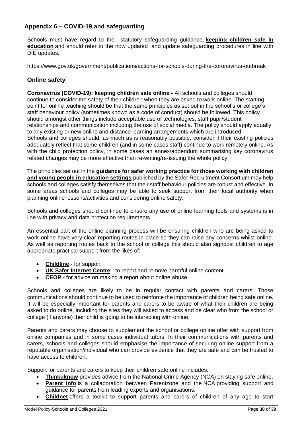## **Appendix 6 – COVID-19 and safeguarding**

Schools must have regard to the statutory safeguarding guidance, **[keeping children safe in](https://www.gov.uk/government/publications/keeping-children-safe-in-education--2)  [education](https://www.gov.uk/government/publications/keeping-children-safe-in-education--2)** and should refer to the now updated and update safeguarding procedures in line with DfE updates.

#### <https://www.gov.uk/government/publications/actions-for-schools-during-the-coronavirus-outbreak>

## **Online safety**

**[Coronavirus \(COVID-19\): keeping children safe online](https://www.gov.uk/government/publications/coronavirus-covid-19-keeping-children-safe-online) -** All schools and colleges should continue to consider the safety of their children when they are asked to work online. The starting point for online teaching should be that the same principles as set out in the school's or college's staff behaviour policy (sometimes known as a code of conduct) should be followed. This policy should amongst other things include acceptable use of technologies, staff pupil/student relationships and communication including the use of social media. The policy should apply equally to any existing or new online and distance learning arrangements which are introduced. Schools and colleges should, as much as is reasonably possible, consider if their existing policies adequately reflect that some children (and in some cases staff) continue to work remotely online. As with the child protection policy, in some cases an annex/addendum summarising key coronavirus related changes may be more effective than re-writing/re-issuing the whole policy.

The principles set out in the **[guidance for safer working practice for those working with children](https://www.saferrecruitmentconsortium.org/)  [and young people in education settings](https://www.saferrecruitmentconsortium.org/)** published by the Safer Recruitment Consortium may help schools and colleges satisfy themselves that their staff behaviour policies are robust and effective. In some areas schools and colleges may be able to seek support from their local authority when planning online lessons/activities and considering online safety.

Schools and colleges should continue to ensure any use of online learning tools and systems is in line with privacy and data protection requirements.

An essential part of the online planning process will be ensuring children who are being asked to work online have very clear reporting routes in place so they can raise any concerns whilst online. As well as reporting routes back to the school or college this should also signpost children to age appropriate practical support from the likes of:

- **[Childline](https://www.childline.org.uk/?utm_source=google&utm_medium=cpc&utm_campaign=UK_GO_S_B_BND_Grant_Childline_Information&utm_term=role_of_childline&gclsrc=aw.ds&&gclid=EAIaIQobChMIlfLRh-ez6AIVRrDtCh1N9QR2EAAYASAAEgLc-vD_BwE&gclsrc=aw.ds)** for support
- **[UK Safer Internet Centre](https://reportharmfulcontent.com/)** to report and remove harmful online content
- **[CEOP](https://www.ceop.police.uk/safety-centre/)** for advice on making a report about online abuse

Schools and colleges are likely to be in regular contact with parents and carers. Those communications should continue to be used to reinforce the importance of children being safe online. It will be especially important for parents and carers to be aware of what their children are being asked to do online, including the sites they will asked to access and be clear who from the school or college (if anyone) their child is going to be interacting with online.

Parents and carers may choose to supplement the school or college online offer with support from online companies and in some cases individual tutors. In their communications with parents and carers, schools and colleges should emphasise the importance of securing online support from a reputable organisation/individual who can provide evidence that they are safe and can be trusted to have access to children.

Support for parents and carers to keep their children safe online includes:

- **[Thinkuknow](http://www.thinkuknow.co.uk/)** provides advice from the National Crime Agency (NCA) on staying safe online.
- **[Parent info](https://parentinfo.org/)** is a collaboration between Parentzone and the NCA providing support and guidance for parents from leading experts and organisations.
- **[Childnet](https://www.childnet.com/parents-and-carers/parent-and-carer-toolkit)** offers a toolkit to support parents and carers of children of any age to start